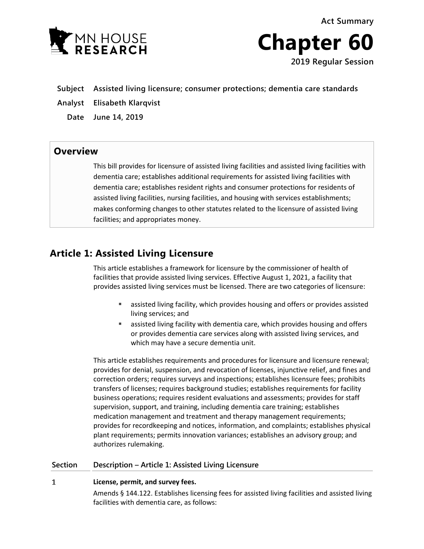**Act Summary**



**Chapter 60 2019 Regular Session**

- 
- **Subject Assisted living licensure; consumer protections; dementia care standards**
- **Analyst Elisabeth Klarqvist** 
	- **Date June 14, 2019**

### **Overview**

This bill provides for licensure of assisted living facilities and assisted living facilities with dementia care; establishes additional requirements for assisted living facilities with dementia care; establishes resident rights and consumer protections for residents of assisted living facilities, nursing facilities, and housing with services establishments; makes conforming changes to other statutes related to the licensure of assisted living facilities; and appropriates money.

## **Article 1: Assisted Living Licensure**

This article establishes a framework for licensure by the commissioner of health of facilities that provide assisted living services. Effective August 1, 2021, a facility that provides assisted living services must be licensed. There are two categories of licensure:

- assisted living facility, which provides housing and offers or provides assisted living services; and
- assisted living facility with dementia care, which provides housing and offers or provides dementia care services along with assisted living services, and which may have a secure dementia unit.

This article establishes requirements and procedures for licensure and licensure renewal; provides for denial, suspension, and revocation of licenses, injunctive relief, and fines and correction orders; requires surveys and inspections; establishes licensure fees; prohibits transfers of licenses; requires background studies; establishes requirements for facility business operations; requires resident evaluations and assessments; provides for staff supervision, support, and training, including dementia care training; establishes medication management and treatment and therapy management requirements; provides for recordkeeping and notices, information, and complaints; establishes physical plant requirements; permits innovation variances; establishes an advisory group; and authorizes rulemaking.

### **Section Description – Article 1: Assisted Living Licensure**

#### $\mathbf{1}$ **License, permit, and survey fees.**

Amends § 144.122. Establishes licensing fees for assisted living facilities and assisted living facilities with dementia care, as follows: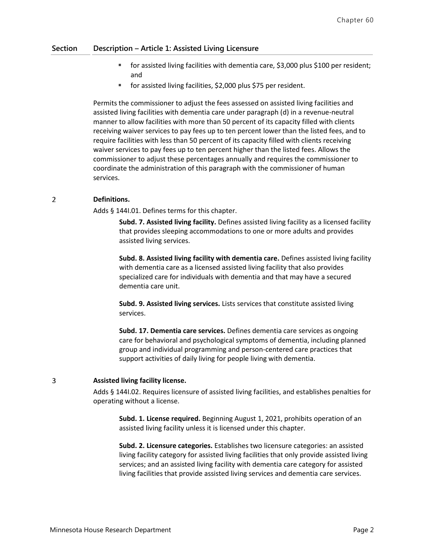- for assisted living facilities with dementia care, \$3,000 plus \$100 per resident; and
- for assisted living facilities, \$2,000 plus \$75 per resident.

Permits the commissioner to adjust the fees assessed on assisted living facilities and assisted living facilities with dementia care under paragraph (d) in a revenue-neutral manner to allow facilities with more than 50 percent of its capacity filled with clients receiving waiver services to pay fees up to ten percent lower than the listed fees, and to require facilities with less than 50 percent of its capacity filled with clients receiving waiver services to pay fees up to ten percent higher than the listed fees. Allows the commissioner to adjust these percentages annually and requires the commissioner to coordinate the administration of this paragraph with the commissioner of human services.

#### $\overline{2}$ **Definitions.**

Adds § 144I.01. Defines terms for this chapter.

**Subd. 7. Assisted living facility.** Defines assisted living facility as a licensed facility that provides sleeping accommodations to one or more adults and provides assisted living services.

**Subd. 8. Assisted living facility with dementia care.** Defines assisted living facility with dementia care as a licensed assisted living facility that also provides specialized care for individuals with dementia and that may have a secured dementia care unit.

**Subd. 9. Assisted living services.** Lists services that constitute assisted living services.

**Subd. 17. Dementia care services.** Defines dementia care services as ongoing care for behavioral and psychological symptoms of dementia, including planned group and individual programming and person-centered care practices that support activities of daily living for people living with dementia.

#### 3 **Assisted living facility license.**

Adds § 144I.02. Requires licensure of assisted living facilities, and establishes penalties for operating without a license.

**Subd. 1. License required.** Beginning August 1, 2021, prohibits operation of an assisted living facility unless it is licensed under this chapter.

**Subd. 2. Licensure categories.** Establishes two licensure categories: an assisted living facility category for assisted living facilities that only provide assisted living services; and an assisted living facility with dementia care category for assisted living facilities that provide assisted living services and dementia care services.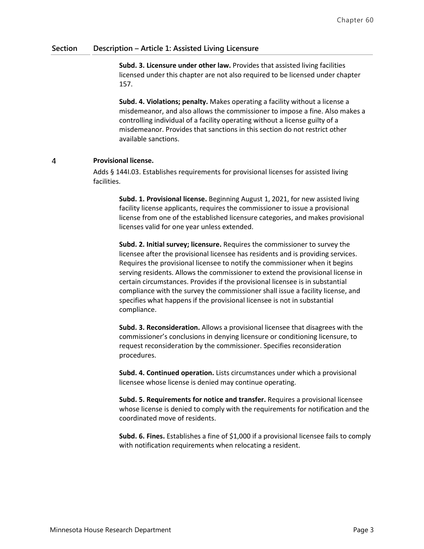**Subd. 3. Licensure under other law.** Provides that assisted living facilities licensed under this chapter are not also required to be licensed under chapter 157.

**Subd. 4. Violations; penalty.** Makes operating a facility without a license a misdemeanor, and also allows the commissioner to impose a fine. Also makes a controlling individual of a facility operating without a license guilty of a misdemeanor. Provides that sanctions in this section do not restrict other available sanctions.

#### $\overline{4}$ **Provisional license.**

Adds § 144I.03. Establishes requirements for provisional licenses for assisted living facilities.

**Subd. 1. Provisional license.** Beginning August 1, 2021, for new assisted living facility license applicants, requires the commissioner to issue a provisional license from one of the established licensure categories, and makes provisional licenses valid for one year unless extended.

**Subd. 2. Initial survey; licensure.** Requires the commissioner to survey the licensee after the provisional licensee has residents and is providing services. Requires the provisional licensee to notify the commissioner when it begins serving residents. Allows the commissioner to extend the provisional license in certain circumstances. Provides if the provisional licensee is in substantial compliance with the survey the commissioner shall issue a facility license, and specifies what happens if the provisional licensee is not in substantial compliance.

**Subd. 3. Reconsideration.** Allows a provisional licensee that disagrees with the commissioner's conclusions in denying licensure or conditioning licensure, to request reconsideration by the commissioner. Specifies reconsideration procedures.

**Subd. 4. Continued operation.** Lists circumstances under which a provisional licensee whose license is denied may continue operating.

**Subd. 5. Requirements for notice and transfer.** Requires a provisional licensee whose license is denied to comply with the requirements for notification and the coordinated move of residents.

**Subd. 6. Fines.** Establishes a fine of \$1,000 if a provisional licensee fails to comply with notification requirements when relocating a resident.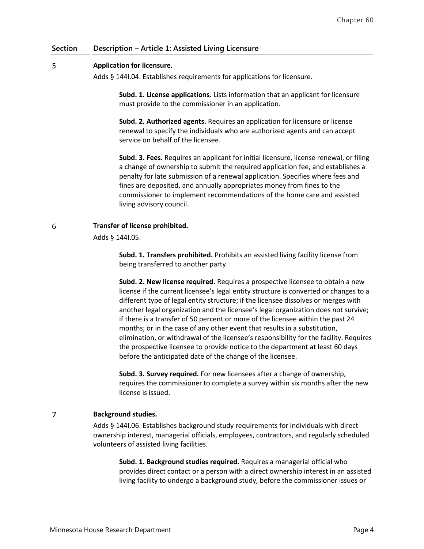#### 5 **Application for licensure.**

Adds § 144I.04. Establishes requirements for applications for licensure.

**Subd. 1. License applications.** Lists information that an applicant for licensure must provide to the commissioner in an application.

**Subd. 2. Authorized agents.** Requires an application for licensure or license renewal to specify the individuals who are authorized agents and can accept service on behalf of the licensee.

**Subd. 3. Fees.** Requires an applicant for initial licensure, license renewal, or filing a change of ownership to submit the required application fee, and establishes a penalty for late submission of a renewal application. Specifies where fees and fines are deposited, and annually appropriates money from fines to the commissioner to implement recommendations of the home care and assisted living advisory council.

6 **Transfer of license prohibited.**

Adds § 144I.05.

**Subd. 1. Transfers prohibited.** Prohibits an assisted living facility license from being transferred to another party.

**Subd. 2. New license required.** Requires a prospective licensee to obtain a new license if the current licensee's legal entity structure is converted or changes to a different type of legal entity structure; if the licensee dissolves or merges with another legal organization and the licensee's legal organization does not survive; if there is a transfer of 50 percent or more of the licensee within the past 24 months; or in the case of any other event that results in a substitution, elimination, or withdrawal of the licensee's responsibility for the facility. Requires the prospective licensee to provide notice to the department at least 60 days before the anticipated date of the change of the licensee.

**Subd. 3. Survey required.** For new licensees after a change of ownership, requires the commissioner to complete a survey within six months after the new license is issued.

#### $\overline{7}$ **Background studies.**

Adds § 144I.06. Establishes background study requirements for individuals with direct ownership interest, managerial officials, employees, contractors, and regularly scheduled volunteers of assisted living facilities.

**Subd. 1. Background studies required.** Requires a managerial official who provides direct contact or a person with a direct ownership interest in an assisted living facility to undergo a background study, before the commissioner issues or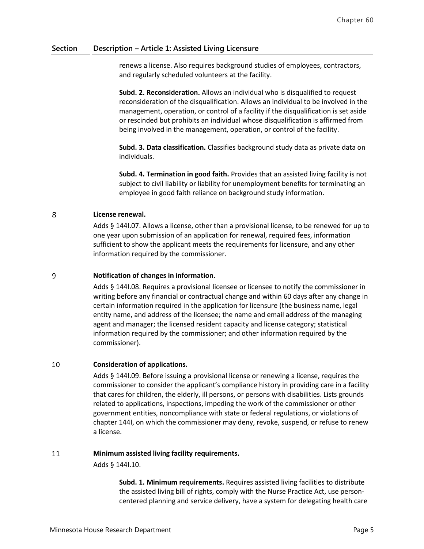renews a license. Also requires background studies of employees, contractors, and regularly scheduled volunteers at the facility.

**Subd. 2. Reconsideration.** Allows an individual who is disqualified to request reconsideration of the disqualification. Allows an individual to be involved in the management, operation, or control of a facility if the disqualification is set aside or rescinded but prohibits an individual whose disqualification is affirmed from being involved in the management, operation, or control of the facility.

**Subd. 3. Data classification.** Classifies background study data as private data on individuals.

**Subd. 4. Termination in good faith.** Provides that an assisted living facility is not subject to civil liability or liability for unemployment benefits for terminating an employee in good faith reliance on background study information.

#### 8 **License renewal.**

Adds § 144I.07. Allows a license, other than a provisional license, to be renewed for up to one year upon submission of an application for renewal, required fees, information sufficient to show the applicant meets the requirements for licensure, and any other information required by the commissioner.

#### 9 **Notification of changes in information.**

Adds § 144I.08. Requires a provisional licensee or licensee to notify the commissioner in writing before any financial or contractual change and within 60 days after any change in certain information required in the application for licensure (the business name, legal entity name, and address of the licensee; the name and email address of the managing agent and manager; the licensed resident capacity and license category; statistical information required by the commissioner; and other information required by the commissioner).

#### 10 **Consideration of applications.**

Adds § 144I.09. Before issuing a provisional license or renewing a license, requires the commissioner to consider the applicant's compliance history in providing care in a facility that cares for children, the elderly, ill persons, or persons with disabilities. Lists grounds related to applications, inspections, impeding the work of the commissioner or other government entities, noncompliance with state or federal regulations, or violations of chapter 144I, on which the commissioner may deny, revoke, suspend, or refuse to renew a license.

#### 11 **Minimum assisted living facility requirements.**

Adds § 144I.10.

**Subd. 1. Minimum requirements.** Requires assisted living facilities to distribute the assisted living bill of rights, comply with the Nurse Practice Act, use personcentered planning and service delivery, have a system for delegating health care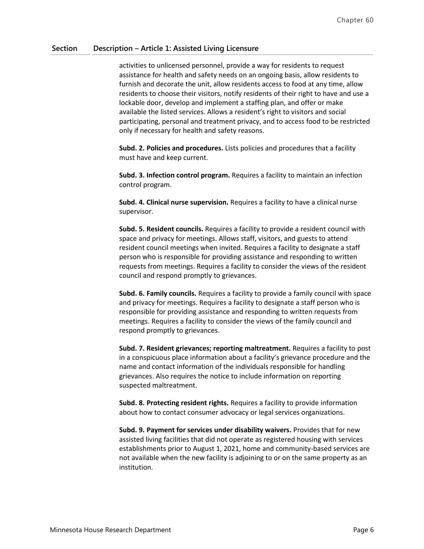activities to unlicensed personnel, provide a way for residents to request assistance for health and safety needs on an ongoing basis, allow residents to furnish and decorate the unit, allow residents access to food at any time, allow residents to choose their visitors, notify residents of their right to have and use a lockable door, develop and implement a staffing plan, and offer or make available the listed services. Allows a resident's right to visitors and social participating, personal and treatment privacy, and to access food to be restricted only if necessary for health and safety reasons.

**Subd. 2. Policies and procedures.** Lists policies and procedures that a facility must have and keep current.

**Subd. 3. Infection control program.** Requires a facility to maintain an infection control program.

**Subd. 4. Clinical nurse supervision.** Requires a facility to have a clinical nurse supervisor.

**Subd. 5. Resident councils.** Requires a facility to provide a resident council with space and privacy for meetings. Allows staff, visitors, and guests to attend resident council meetings when invited. Requires a facility to designate a staff person who is responsible for providing assistance and responding to written requests from meetings. Requires a facility to consider the views of the resident council and respond promptly to grievances.

**Subd. 6. Family councils.** Requires a facility to provide a family council with space and privacy for meetings. Requires a facility to designate a staff person who is responsible for providing assistance and responding to written requests from meetings. Requires a facility to consider the views of the family council and respond promptly to grievances.

**Subd. 7. Resident grievances; reporting maltreatment.** Requires a facility to post in a conspicuous place information about a facility's grievance procedure and the name and contact information of the individuals responsible for handling grievances. Also requires the notice to include information on reporting suspected maltreatment.

**Subd. 8. Protecting resident rights.** Requires a facility to provide information about how to contact consumer advocacy or legal services organizations.

**Subd. 9. Payment for services under disability waivers.** Provides that for new assisted living facilities that did not operate as registered housing with services establishments prior to August 1, 2021, home and community-based services are not available when the new facility is adjoining to or on the same property as an institution.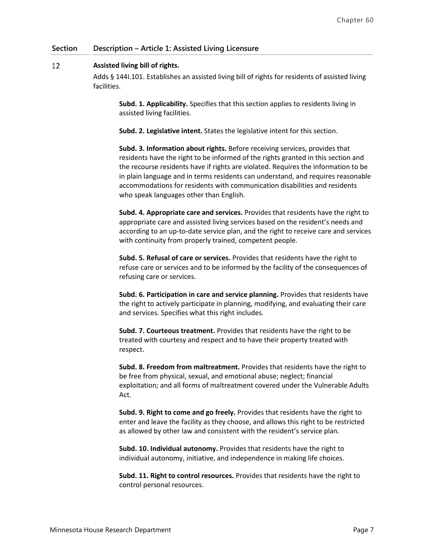#### 12 **Assisted living bill of rights.**

Adds § 144I.101. Establishes an assisted living bill of rights for residents of assisted living facilities.

**Subd. 1. Applicability.** Specifies that this section applies to residents living in assisted living facilities.

**Subd. 2. Legislative intent.** States the legislative intent for this section.

**Subd. 3. Information about rights.** Before receiving services, provides that residents have the right to be informed of the rights granted in this section and the recourse residents have if rights are violated. Requires the information to be in plain language and in terms residents can understand, and requires reasonable accommodations for residents with communication disabilities and residents who speak languages other than English.

**Subd. 4. Appropriate care and services.** Provides that residents have the right to appropriate care and assisted living services based on the resident's needs and according to an up-to-date service plan, and the right to receive care and services with continuity from properly trained, competent people.

**Subd. 5. Refusal of care or services.** Provides that residents have the right to refuse care or services and to be informed by the facility of the consequences of refusing care or services.

**Subd. 6. Participation in care and service planning.** Provides that residents have the right to actively participate in planning, modifying, and evaluating their care and services. Specifies what this right includes.

**Subd. 7. Courteous treatment.** Provides that residents have the right to be treated with courtesy and respect and to have their property treated with respect.

**Subd. 8. Freedom from maltreatment.** Provides that residents have the right to be free from physical, sexual, and emotional abuse; neglect; financial exploitation; and all forms of maltreatment covered under the Vulnerable Adults Act.

**Subd. 9. Right to come and go freely.** Provides that residents have the right to enter and leave the facility as they choose, and allows this right to be restricted as allowed by other law and consistent with the resident's service plan.

**Subd. 10. Individual autonomy.** Provides that residents have the right to individual autonomy, initiative, and independence in making life choices.

**Subd. 11. Right to control resources.** Provides that residents have the right to control personal resources.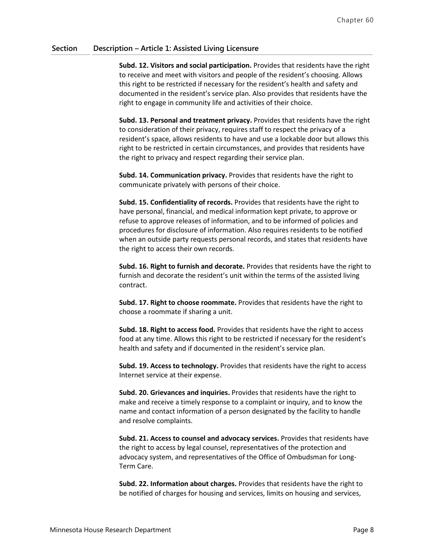**Subd. 12. Visitors and social participation.** Provides that residents have the right to receive and meet with visitors and people of the resident's choosing. Allows this right to be restricted if necessary for the resident's health and safety and documented in the resident's service plan. Also provides that residents have the right to engage in community life and activities of their choice.

**Subd. 13. Personal and treatment privacy.** Provides that residents have the right to consideration of their privacy, requires staff to respect the privacy of a resident's space, allows residents to have and use a lockable door but allows this right to be restricted in certain circumstances, and provides that residents have the right to privacy and respect regarding their service plan.

**Subd. 14. Communication privacy.** Provides that residents have the right to communicate privately with persons of their choice.

**Subd. 15. Confidentiality of records.** Provides that residents have the right to have personal, financial, and medical information kept private, to approve or refuse to approve releases of information, and to be informed of policies and procedures for disclosure of information. Also requires residents to be notified when an outside party requests personal records, and states that residents have the right to access their own records.

**Subd. 16. Right to furnish and decorate.** Provides that residents have the right to furnish and decorate the resident's unit within the terms of the assisted living contract.

**Subd. 17. Right to choose roommate.** Provides that residents have the right to choose a roommate if sharing a unit.

**Subd. 18. Right to access food.** Provides that residents have the right to access food at any time. Allows this right to be restricted if necessary for the resident's health and safety and if documented in the resident's service plan.

**Subd. 19. Access to technology.** Provides that residents have the right to access Internet service at their expense.

**Subd. 20. Grievances and inquiries.** Provides that residents have the right to make and receive a timely response to a complaint or inquiry, and to know the name and contact information of a person designated by the facility to handle and resolve complaints.

**Subd. 21. Access to counsel and advocacy services.** Provides that residents have the right to access by legal counsel, representatives of the protection and advocacy system, and representatives of the Office of Ombudsman for Long-Term Care.

**Subd. 22. Information about charges.** Provides that residents have the right to be notified of charges for housing and services, limits on housing and services,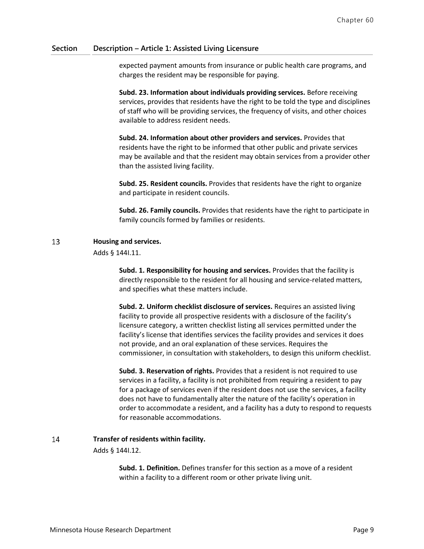expected payment amounts from insurance or public health care programs, and charges the resident may be responsible for paying.

**Subd. 23. Information about individuals providing services.** Before receiving services, provides that residents have the right to be told the type and disciplines of staff who will be providing services, the frequency of visits, and other choices available to address resident needs.

**Subd. 24. Information about other providers and services.** Provides that residents have the right to be informed that other public and private services may be available and that the resident may obtain services from a provider other than the assisted living facility.

**Subd. 25. Resident councils.** Provides that residents have the right to organize and participate in resident councils.

**Subd. 26. Family councils.** Provides that residents have the right to participate in family councils formed by families or residents.

#### 13 **Housing and services.**

Adds § 144I.11.

**Subd. 1. Responsibility for housing and services.** Provides that the facility is directly responsible to the resident for all housing and service-related matters, and specifies what these matters include.

**Subd. 2. Uniform checklist disclosure of services.** Requires an assisted living facility to provide all prospective residents with a disclosure of the facility's licensure category, a written checklist listing all services permitted under the facility's license that identifies services the facility provides and services it does not provide, and an oral explanation of these services. Requires the commissioner, in consultation with stakeholders, to design this uniform checklist.

**Subd. 3. Reservation of rights.** Provides that a resident is not required to use services in a facility, a facility is not prohibited from requiring a resident to pay for a package of services even if the resident does not use the services, a facility does not have to fundamentally alter the nature of the facility's operation in order to accommodate a resident, and a facility has a duty to respond to requests for reasonable accommodations.

#### 14 **Transfer of residents within facility.**

Adds § 144I.12.

**Subd. 1. Definition.** Defines transfer for this section as a move of a resident within a facility to a different room or other private living unit.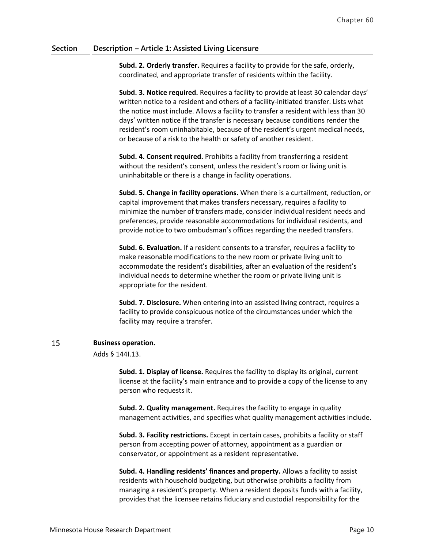**Subd. 2. Orderly transfer.** Requires a facility to provide for the safe, orderly, coordinated, and appropriate transfer of residents within the facility.

**Subd. 3. Notice required.** Requires a facility to provide at least 30 calendar days' written notice to a resident and others of a facility-initiated transfer. Lists what the notice must include. Allows a facility to transfer a resident with less than 30 days' written notice if the transfer is necessary because conditions render the resident's room uninhabitable, because of the resident's urgent medical needs, or because of a risk to the health or safety of another resident.

**Subd. 4. Consent required.** Prohibits a facility from transferring a resident without the resident's consent, unless the resident's room or living unit is uninhabitable or there is a change in facility operations.

**Subd. 5. Change in facility operations.** When there is a curtailment, reduction, or capital improvement that makes transfers necessary, requires a facility to minimize the number of transfers made, consider individual resident needs and preferences, provide reasonable accommodations for individual residents, and provide notice to two ombudsman's offices regarding the needed transfers.

**Subd. 6. Evaluation.** If a resident consents to a transfer, requires a facility to make reasonable modifications to the new room or private living unit to accommodate the resident's disabilities, after an evaluation of the resident's individual needs to determine whether the room or private living unit is appropriate for the resident.

**Subd. 7. Disclosure.** When entering into an assisted living contract, requires a facility to provide conspicuous notice of the circumstances under which the facility may require a transfer.

#### 15 **Business operation.**

Adds § 144I.13.

**Subd. 1. Display of license.** Requires the facility to display its original, current license at the facility's main entrance and to provide a copy of the license to any person who requests it.

**Subd. 2. Quality management.** Requires the facility to engage in quality management activities, and specifies what quality management activities include.

**Subd. 3. Facility restrictions.** Except in certain cases, prohibits a facility or staff person from accepting power of attorney, appointment as a guardian or conservator, or appointment as a resident representative.

**Subd. 4. Handling residents' finances and property.** Allows a facility to assist residents with household budgeting, but otherwise prohibits a facility from managing a resident's property. When a resident deposits funds with a facility, provides that the licensee retains fiduciary and custodial responsibility for the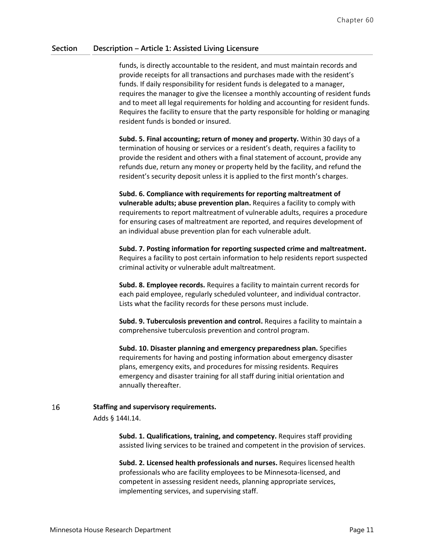funds, is directly accountable to the resident, and must maintain records and provide receipts for all transactions and purchases made with the resident's funds. If daily responsibility for resident funds is delegated to a manager, requires the manager to give the licensee a monthly accounting of resident funds and to meet all legal requirements for holding and accounting for resident funds. Requires the facility to ensure that the party responsible for holding or managing resident funds is bonded or insured.

**Subd. 5. Final accounting; return of money and property.** Within 30 days of a termination of housing or services or a resident's death, requires a facility to provide the resident and others with a final statement of account, provide any refunds due, return any money or property held by the facility, and refund the resident's security deposit unless it is applied to the first month's charges.

**Subd. 6. Compliance with requirements for reporting maltreatment of vulnerable adults; abuse prevention plan.** Requires a facility to comply with requirements to report maltreatment of vulnerable adults, requires a procedure for ensuring cases of maltreatment are reported, and requires development of an individual abuse prevention plan for each vulnerable adult.

**Subd. 7. Posting information for reporting suspected crime and maltreatment.** Requires a facility to post certain information to help residents report suspected criminal activity or vulnerable adult maltreatment.

**Subd. 8. Employee records.** Requires a facility to maintain current records for each paid employee, regularly scheduled volunteer, and individual contractor. Lists what the facility records for these persons must include.

**Subd. 9. Tuberculosis prevention and control.** Requires a facility to maintain a comprehensive tuberculosis prevention and control program.

**Subd. 10. Disaster planning and emergency preparedness plan.** Specifies requirements for having and posting information about emergency disaster plans, emergency exits, and procedures for missing residents. Requires emergency and disaster training for all staff during initial orientation and annually thereafter.

#### 16 **Staffing and supervisory requirements.**

Adds § 144I.14.

**Subd. 1. Qualifications, training, and competency.** Requires staff providing assisted living services to be trained and competent in the provision of services.

**Subd. 2. Licensed health professionals and nurses.** Requires licensed health professionals who are facility employees to be Minnesota-licensed, and competent in assessing resident needs, planning appropriate services, implementing services, and supervising staff.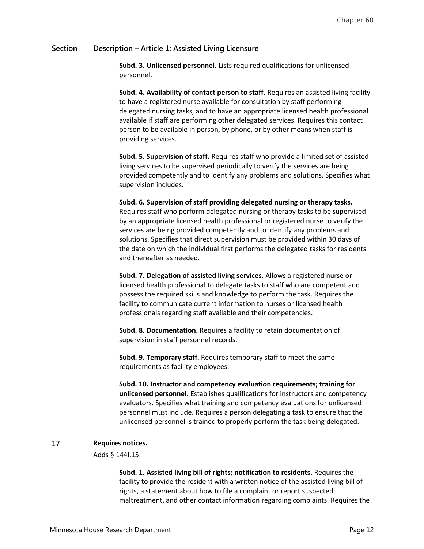**Subd. 3. Unlicensed personnel.** Lists required qualifications for unlicensed personnel.

**Subd. 4. Availability of contact person to staff.** Requires an assisted living facility to have a registered nurse available for consultation by staff performing delegated nursing tasks, and to have an appropriate licensed health professional available if staff are performing other delegated services. Requires this contact person to be available in person, by phone, or by other means when staff is providing services.

**Subd. 5. Supervision of staff.** Requires staff who provide a limited set of assisted living services to be supervised periodically to verify the services are being provided competently and to identify any problems and solutions. Specifies what supervision includes.

**Subd. 6. Supervision of staff providing delegated nursing or therapy tasks.** Requires staff who perform delegated nursing or therapy tasks to be supervised by an appropriate licensed health professional or registered nurse to verify the services are being provided competently and to identify any problems and solutions. Specifies that direct supervision must be provided within 30 days of the date on which the individual first performs the delegated tasks for residents and thereafter as needed.

**Subd. 7. Delegation of assisted living services.** Allows a registered nurse or licensed health professional to delegate tasks to staff who are competent and possess the required skills and knowledge to perform the task. Requires the facility to communicate current information to nurses or licensed health professionals regarding staff available and their competencies.

**Subd. 8. Documentation.** Requires a facility to retain documentation of supervision in staff personnel records.

**Subd. 9. Temporary staff.** Requires temporary staff to meet the same requirements as facility employees.

**Subd. 10. Instructor and competency evaluation requirements; training for unlicensed personnel.** Establishes qualifications for instructors and competency evaluators. Specifies what training and competency evaluations for unlicensed personnel must include. Requires a person delegating a task to ensure that the unlicensed personnel is trained to properly perform the task being delegated.

#### 17 **Requires notices.**

Adds § 144I.15.

**Subd. 1. Assisted living bill of rights; notification to residents.** Requires the facility to provide the resident with a written notice of the assisted living bill of rights, a statement about how to file a complaint or report suspected maltreatment, and other contact information regarding complaints. Requires the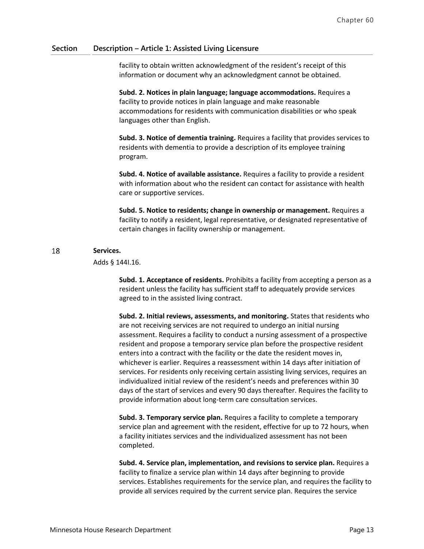facility to obtain written acknowledgment of the resident's receipt of this information or document why an acknowledgment cannot be obtained.

**Subd. 2. Notices in plain language; language accommodations.** Requires a facility to provide notices in plain language and make reasonable accommodations for residents with communication disabilities or who speak languages other than English.

**Subd. 3. Notice of dementia training.** Requires a facility that provides services to residents with dementia to provide a description of its employee training program.

**Subd. 4. Notice of available assistance.** Requires a facility to provide a resident with information about who the resident can contact for assistance with health care or supportive services.

**Subd. 5. Notice to residents; change in ownership or management.** Requires a facility to notify a resident, legal representative, or designated representative of certain changes in facility ownership or management.

#### 18 **Services.**

Adds § 144I.16.

**Subd. 1. Acceptance of residents.** Prohibits a facility from accepting a person as a resident unless the facility has sufficient staff to adequately provide services agreed to in the assisted living contract.

**Subd. 2. Initial reviews, assessments, and monitoring.** States that residents who are not receiving services are not required to undergo an initial nursing assessment. Requires a facility to conduct a nursing assessment of a prospective resident and propose a temporary service plan before the prospective resident enters into a contract with the facility or the date the resident moves in, whichever is earlier. Requires a reassessment within 14 days after initiation of services. For residents only receiving certain assisting living services, requires an individualized initial review of the resident's needs and preferences within 30 days of the start of services and every 90 days thereafter. Requires the facility to provide information about long-term care consultation services.

**Subd. 3. Temporary service plan.** Requires a facility to complete a temporary service plan and agreement with the resident, effective for up to 72 hours, when a facility initiates services and the individualized assessment has not been completed.

**Subd. 4. Service plan, implementation, and revisions to service plan.** Requires a facility to finalize a service plan within 14 days after beginning to provide services. Establishes requirements for the service plan, and requires the facility to provide all services required by the current service plan. Requires the service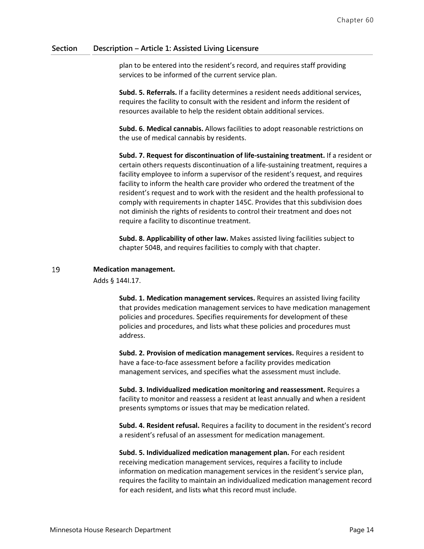plan to be entered into the resident's record, and requires staff providing services to be informed of the current service plan.

**Subd. 5. Referrals.** If a facility determines a resident needs additional services, requires the facility to consult with the resident and inform the resident of resources available to help the resident obtain additional services.

**Subd. 6. Medical cannabis.** Allows facilities to adopt reasonable restrictions on the use of medical cannabis by residents.

**Subd. 7. Request for discontinuation of life-sustaining treatment.** If a resident or certain others requests discontinuation of a life-sustaining treatment, requires a facility employee to inform a supervisor of the resident's request, and requires facility to inform the health care provider who ordered the treatment of the resident's request and to work with the resident and the health professional to comply with requirements in chapter 145C. Provides that this subdivision does not diminish the rights of residents to control their treatment and does not require a facility to discontinue treatment.

**Subd. 8. Applicability of other law.** Makes assisted living facilities subject to chapter 504B, and requires facilities to comply with that chapter.

#### 19 **Medication management.**

Adds § 144I.17.

**Subd. 1. Medication management services.** Requires an assisted living facility that provides medication management services to have medication management policies and procedures. Specifies requirements for development of these policies and procedures, and lists what these policies and procedures must address.

**Subd. 2. Provision of medication management services.** Requires a resident to have a face-to-face assessment before a facility provides medication management services, and specifies what the assessment must include.

**Subd. 3. Individualized medication monitoring and reassessment.** Requires a facility to monitor and reassess a resident at least annually and when a resident presents symptoms or issues that may be medication related.

**Subd. 4. Resident refusal.** Requires a facility to document in the resident's record a resident's refusal of an assessment for medication management.

**Subd. 5. Individualized medication management plan.** For each resident receiving medication management services, requires a facility to include information on medication management services in the resident's service plan, requires the facility to maintain an individualized medication management record for each resident, and lists what this record must include.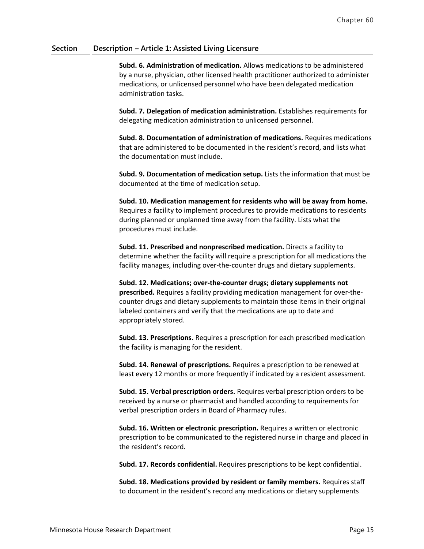**Subd. 6. Administration of medication.** Allows medications to be administered by a nurse, physician, other licensed health practitioner authorized to administer medications, or unlicensed personnel who have been delegated medication administration tasks.

**Subd. 7. Delegation of medication administration.** Establishes requirements for delegating medication administration to unlicensed personnel.

**Subd. 8. Documentation of administration of medications.** Requires medications that are administered to be documented in the resident's record, and lists what the documentation must include.

**Subd. 9. Documentation of medication setup.** Lists the information that must be documented at the time of medication setup.

**Subd. 10. Medication management for residents who will be away from home.** Requires a facility to implement procedures to provide medications to residents during planned or unplanned time away from the facility. Lists what the procedures must include.

**Subd. 11. Prescribed and nonprescribed medication.** Directs a facility to determine whether the facility will require a prescription for all medications the facility manages, including over-the-counter drugs and dietary supplements.

**Subd. 12. Medications; over-the-counter drugs; dietary supplements not prescribed.** Requires a facility providing medication management for over-thecounter drugs and dietary supplements to maintain those items in their original labeled containers and verify that the medications are up to date and appropriately stored.

**Subd. 13. Prescriptions.** Requires a prescription for each prescribed medication the facility is managing for the resident.

**Subd. 14. Renewal of prescriptions.** Requires a prescription to be renewed at least every 12 months or more frequently if indicated by a resident assessment.

**Subd. 15. Verbal prescription orders.** Requires verbal prescription orders to be received by a nurse or pharmacist and handled according to requirements for verbal prescription orders in Board of Pharmacy rules.

**Subd. 16. Written or electronic prescription.** Requires a written or electronic prescription to be communicated to the registered nurse in charge and placed in the resident's record.

**Subd. 17. Records confidential.** Requires prescriptions to be kept confidential.

**Subd. 18. Medications provided by resident or family members.** Requires staff to document in the resident's record any medications or dietary supplements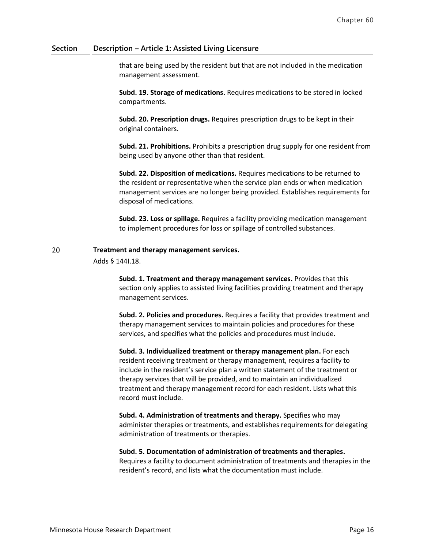that are being used by the resident but that are not included in the medication management assessment.

**Subd. 19. Storage of medications.** Requires medications to be stored in locked compartments.

**Subd. 20. Prescription drugs.** Requires prescription drugs to be kept in their original containers.

**Subd. 21. Prohibitions.** Prohibits a prescription drug supply for one resident from being used by anyone other than that resident.

**Subd. 22. Disposition of medications.** Requires medications to be returned to the resident or representative when the service plan ends or when medication management services are no longer being provided. Establishes requirements for disposal of medications.

**Subd. 23. Loss or spillage.** Requires a facility providing medication management to implement procedures for loss or spillage of controlled substances.

#### 20 **Treatment and therapy management services.**

Adds § 144I.18.

**Subd. 1. Treatment and therapy management services.** Provides that this section only applies to assisted living facilities providing treatment and therapy management services.

**Subd. 2. Policies and procedures.** Requires a facility that provides treatment and therapy management services to maintain policies and procedures for these services, and specifies what the policies and procedures must include.

**Subd. 3. Individualized treatment or therapy management plan.** For each resident receiving treatment or therapy management, requires a facility to include in the resident's service plan a written statement of the treatment or therapy services that will be provided, and to maintain an individualized treatment and therapy management record for each resident. Lists what this record must include.

**Subd. 4. Administration of treatments and therapy.** Specifies who may administer therapies or treatments, and establishes requirements for delegating administration of treatments or therapies.

### **Subd. 5. Documentation of administration of treatments and therapies.**

Requires a facility to document administration of treatments and therapies in the resident's record, and lists what the documentation must include.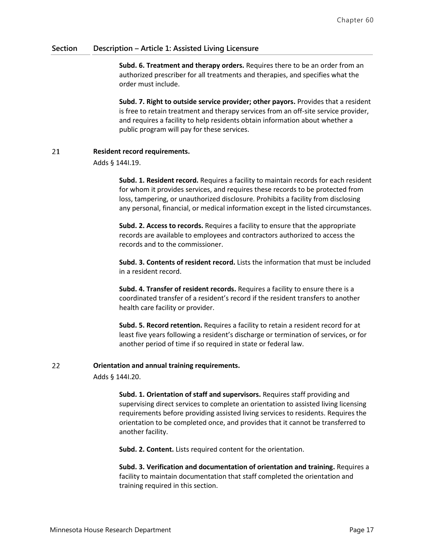**Subd. 6. Treatment and therapy orders.** Requires there to be an order from an authorized prescriber for all treatments and therapies, and specifies what the order must include.

**Subd. 7. Right to outside service provider; other payors.** Provides that a resident is free to retain treatment and therapy services from an off-site service provider, and requires a facility to help residents obtain information about whether a public program will pay for these services.

#### 21 **Resident record requirements.**

Adds § 144I.19.

**Subd. 1. Resident record.** Requires a facility to maintain records for each resident for whom it provides services, and requires these records to be protected from loss, tampering, or unauthorized disclosure. Prohibits a facility from disclosing any personal, financial, or medical information except in the listed circumstances.

**Subd. 2. Access to records.** Requires a facility to ensure that the appropriate records are available to employees and contractors authorized to access the records and to the commissioner.

**Subd. 3. Contents of resident record.** Lists the information that must be included in a resident record.

**Subd. 4. Transfer of resident records.** Requires a facility to ensure there is a coordinated transfer of a resident's record if the resident transfers to another health care facility or provider.

**Subd. 5. Record retention.** Requires a facility to retain a resident record for at least five years following a resident's discharge or termination of services, or for another period of time if so required in state or federal law.

#### 22 **Orientation and annual training requirements.**

Adds § 144I.20.

**Subd. 1. Orientation of staff and supervisors.** Requires staff providing and supervising direct services to complete an orientation to assisted living licensing requirements before providing assisted living services to residents. Requires the orientation to be completed once, and provides that it cannot be transferred to another facility.

**Subd. 2. Content.** Lists required content for the orientation.

**Subd. 3. Verification and documentation of orientation and training.** Requires a facility to maintain documentation that staff completed the orientation and training required in this section.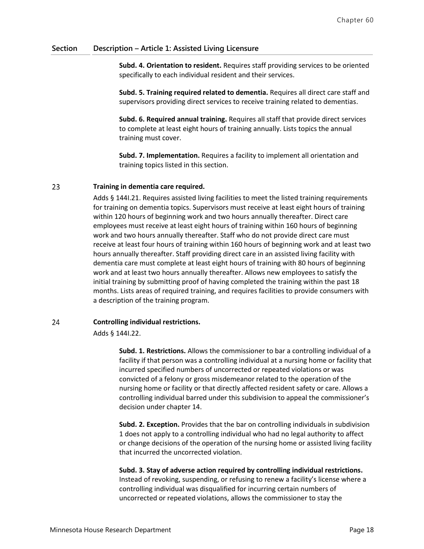**Subd. 4. Orientation to resident.** Requires staff providing services to be oriented specifically to each individual resident and their services.

**Subd. 5. Training required related to dementia.** Requires all direct care staff and supervisors providing direct services to receive training related to dementias.

**Subd. 6. Required annual training.** Requires all staff that provide direct services to complete at least eight hours of training annually. Lists topics the annual training must cover.

**Subd. 7. Implementation.** Requires a facility to implement all orientation and training topics listed in this section.

#### 23 **Training in dementia care required.**

Adds § 144I.21. Requires assisted living facilities to meet the listed training requirements for training on dementia topics. Supervisors must receive at least eight hours of training within 120 hours of beginning work and two hours annually thereafter. Direct care employees must receive at least eight hours of training within 160 hours of beginning work and two hours annually thereafter. Staff who do not provide direct care must receive at least four hours of training within 160 hours of beginning work and at least two hours annually thereafter. Staff providing direct care in an assisted living facility with dementia care must complete at least eight hours of training with 80 hours of beginning work and at least two hours annually thereafter. Allows new employees to satisfy the initial training by submitting proof of having completed the training within the past 18 months. Lists areas of required training, and requires facilities to provide consumers with a description of the training program.

#### 24 **Controlling individual restrictions.**

Adds § 144I.22.

**Subd. 1. Restrictions.** Allows the commissioner to bar a controlling individual of a facility if that person was a controlling individual at a nursing home or facility that incurred specified numbers of uncorrected or repeated violations or was convicted of a felony or gross misdemeanor related to the operation of the nursing home or facility or that directly affected resident safety or care. Allows a controlling individual barred under this subdivision to appeal the commissioner's decision under chapter 14.

**Subd. 2. Exception.** Provides that the bar on controlling individuals in subdivision 1 does not apply to a controlling individual who had no legal authority to affect or change decisions of the operation of the nursing home or assisted living facility that incurred the uncorrected violation.

**Subd. 3. Stay of adverse action required by controlling individual restrictions.** Instead of revoking, suspending, or refusing to renew a facility's license where a controlling individual was disqualified for incurring certain numbers of uncorrected or repeated violations, allows the commissioner to stay the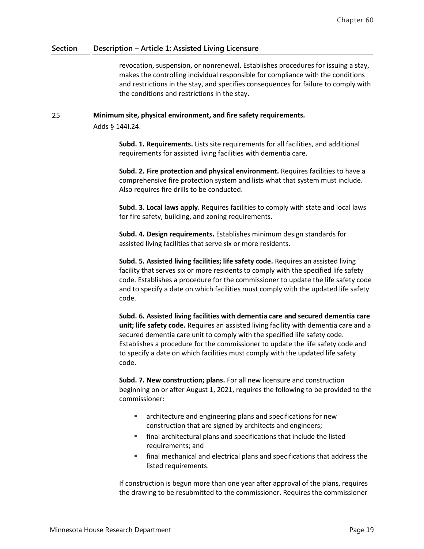revocation, suspension, or nonrenewal. Establishes procedures for issuing a stay, makes the controlling individual responsible for compliance with the conditions and restrictions in the stay, and specifies consequences for failure to comply with the conditions and restrictions in the stay.

#### 25 **Minimum site, physical environment, and fire safety requirements.**

Adds § 144I.24.

**Subd. 1. Requirements.** Lists site requirements for all facilities, and additional requirements for assisted living facilities with dementia care.

**Subd. 2. Fire protection and physical environment.** Requires facilities to have a comprehensive fire protection system and lists what that system must include. Also requires fire drills to be conducted.

**Subd. 3. Local laws apply.** Requires facilities to comply with state and local laws for fire safety, building, and zoning requirements.

**Subd. 4. Design requirements.** Establishes minimum design standards for assisted living facilities that serve six or more residents.

**Subd. 5. Assisted living facilities; life safety code.** Requires an assisted living facility that serves six or more residents to comply with the specified life safety code. Establishes a procedure for the commissioner to update the life safety code and to specify a date on which facilities must comply with the updated life safety code.

**Subd. 6. Assisted living facilities with dementia care and secured dementia care unit; life safety code.** Requires an assisted living facility with dementia care and a secured dementia care unit to comply with the specified life safety code. Establishes a procedure for the commissioner to update the life safety code and to specify a date on which facilities must comply with the updated life safety code.

**Subd. 7. New construction; plans.** For all new licensure and construction beginning on or after August 1, 2021, requires the following to be provided to the commissioner:

- **EXECUTER:** architecture and engineering plans and specifications for new construction that are signed by architects and engineers;
- final architectural plans and specifications that include the listed requirements; and
- final mechanical and electrical plans and specifications that address the listed requirements.

If construction is begun more than one year after approval of the plans, requires the drawing to be resubmitted to the commissioner. Requires the commissioner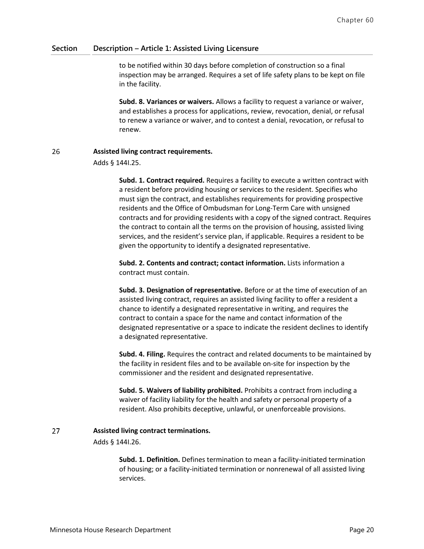to be notified within 30 days before completion of construction so a final inspection may be arranged. Requires a set of life safety plans to be kept on file in the facility.

**Subd. 8. Variances or waivers.** Allows a facility to request a variance or waiver, and establishes a process for applications, review, revocation, denial, or refusal to renew a variance or waiver, and to contest a denial, revocation, or refusal to renew.

#### 26 **Assisted living contract requirements.**

Adds § 144I.25.

**Subd. 1. Contract required.** Requires a facility to execute a written contract with a resident before providing housing or services to the resident. Specifies who must sign the contract, and establishes requirements for providing prospective residents and the Office of Ombudsman for Long-Term Care with unsigned contracts and for providing residents with a copy of the signed contract. Requires the contract to contain all the terms on the provision of housing, assisted living services, and the resident's service plan, if applicable. Requires a resident to be given the opportunity to identify a designated representative.

**Subd. 2. Contents and contract; contact information.** Lists information a contract must contain.

**Subd. 3. Designation of representative.** Before or at the time of execution of an assisted living contract, requires an assisted living facility to offer a resident a chance to identify a designated representative in writing, and requires the contract to contain a space for the name and contact information of the designated representative or a space to indicate the resident declines to identify a designated representative.

**Subd. 4. Filing.** Requires the contract and related documents to be maintained by the facility in resident files and to be available on-site for inspection by the commissioner and the resident and designated representative.

**Subd. 5. Waivers of liability prohibited.** Prohibits a contract from including a waiver of facility liability for the health and safety or personal property of a resident. Also prohibits deceptive, unlawful, or unenforceable provisions.

#### 27 **Assisted living contract terminations.**

Adds § 144I.26.

**Subd. 1. Definition.** Defines termination to mean a facility-initiated termination of housing; or a facility-initiated termination or nonrenewal of all assisted living services.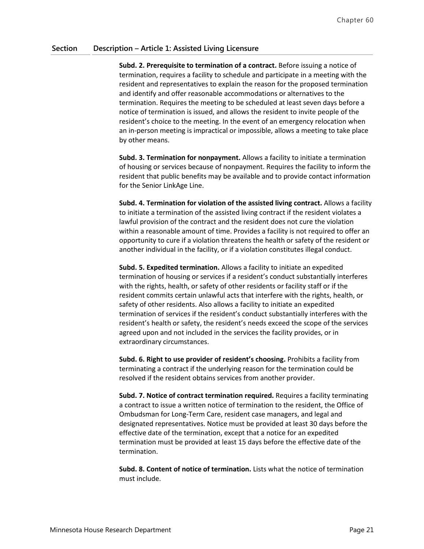**Subd. 2. Prerequisite to termination of a contract.** Before issuing a notice of termination, requires a facility to schedule and participate in a meeting with the resident and representatives to explain the reason for the proposed termination and identify and offer reasonable accommodations or alternatives to the termination. Requires the meeting to be scheduled at least seven days before a notice of termination is issued, and allows the resident to invite people of the resident's choice to the meeting. In the event of an emergency relocation when an in-person meeting is impractical or impossible, allows a meeting to take place by other means.

**Subd. 3. Termination for nonpayment.** Allows a facility to initiate a termination of housing or services because of nonpayment. Requires the facility to inform the resident that public benefits may be available and to provide contact information for the Senior LinkAge Line.

**Subd. 4. Termination for violation of the assisted living contract.** Allows a facility to initiate a termination of the assisted living contract if the resident violates a lawful provision of the contract and the resident does not cure the violation within a reasonable amount of time. Provides a facility is not required to offer an opportunity to cure if a violation threatens the health or safety of the resident or another individual in the facility, or if a violation constitutes illegal conduct.

**Subd. 5. Expedited termination.** Allows a facility to initiate an expedited termination of housing or services if a resident's conduct substantially interferes with the rights, health, or safety of other residents or facility staff or if the resident commits certain unlawful acts that interfere with the rights, health, or safety of other residents. Also allows a facility to initiate an expedited termination of services if the resident's conduct substantially interferes with the resident's health or safety, the resident's needs exceed the scope of the services agreed upon and not included in the services the facility provides, or in extraordinary circumstances.

**Subd. 6. Right to use provider of resident's choosing.** Prohibits a facility from terminating a contract if the underlying reason for the termination could be resolved if the resident obtains services from another provider.

**Subd. 7. Notice of contract termination required.** Requires a facility terminating a contract to issue a written notice of termination to the resident, the Office of Ombudsman for Long-Term Care, resident case managers, and legal and designated representatives. Notice must be provided at least 30 days before the effective date of the termination, except that a notice for an expedited termination must be provided at least 15 days before the effective date of the termination.

**Subd. 8. Content of notice of termination.** Lists what the notice of termination must include.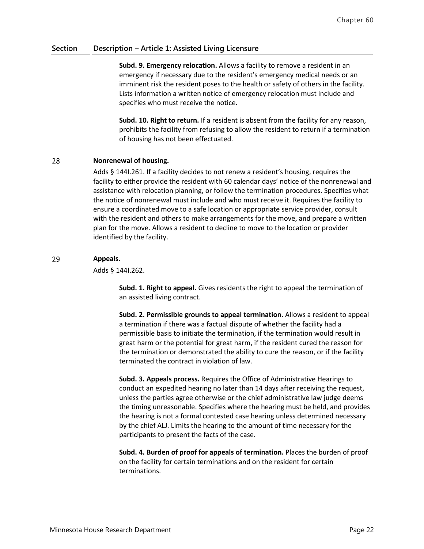**Subd. 9. Emergency relocation.** Allows a facility to remove a resident in an emergency if necessary due to the resident's emergency medical needs or an imminent risk the resident poses to the health or safety of others in the facility. Lists information a written notice of emergency relocation must include and specifies who must receive the notice.

**Subd. 10. Right to return.** If a resident is absent from the facility for any reason, prohibits the facility from refusing to allow the resident to return if a termination of housing has not been effectuated.

#### 28 **Nonrenewal of housing.**

Adds § 144I.261. If a facility decides to not renew a resident's housing, requires the facility to either provide the resident with 60 calendar days' notice of the nonrenewal and assistance with relocation planning, or follow the termination procedures. Specifies what the notice of nonrenewal must include and who must receive it. Requires the facility to ensure a coordinated move to a safe location or appropriate service provider, consult with the resident and others to make arrangements for the move, and prepare a written plan for the move. Allows a resident to decline to move to the location or provider identified by the facility.

#### 29 **Appeals.**

Adds § 144I.262.

**Subd. 1. Right to appeal.** Gives residents the right to appeal the termination of an assisted living contract.

**Subd. 2. Permissible grounds to appeal termination.** Allows a resident to appeal a termination if there was a factual dispute of whether the facility had a permissible basis to initiate the termination, if the termination would result in great harm or the potential for great harm, if the resident cured the reason for the termination or demonstrated the ability to cure the reason, or if the facility terminated the contract in violation of law.

**Subd. 3. Appeals process.** Requires the Office of Administrative Hearings to conduct an expedited hearing no later than 14 days after receiving the request, unless the parties agree otherwise or the chief administrative law judge deems the timing unreasonable. Specifies where the hearing must be held, and provides the hearing is not a formal contested case hearing unless determined necessary by the chief ALJ. Limits the hearing to the amount of time necessary for the participants to present the facts of the case.

**Subd. 4. Burden of proof for appeals of termination.** Places the burden of proof on the facility for certain terminations and on the resident for certain terminations.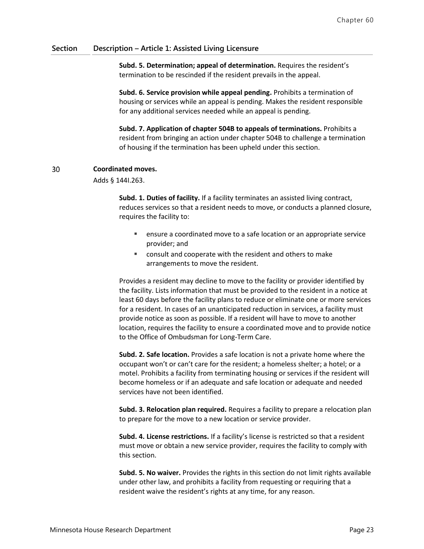**Subd. 5. Determination; appeal of determination.** Requires the resident's termination to be rescinded if the resident prevails in the appeal.

**Subd. 6. Service provision while appeal pending.** Prohibits a termination of housing or services while an appeal is pending. Makes the resident responsible for any additional services needed while an appeal is pending.

**Subd. 7. Application of chapter 504B to appeals of terminations.** Prohibits a resident from bringing an action under chapter 504B to challenge a termination of housing if the termination has been upheld under this section.

#### **Coordinated moves.** 30

Adds § 144I.263.

**Subd. 1. Duties of facility.** If a facility terminates an assisted living contract, reduces services so that a resident needs to move, or conducts a planned closure, requires the facility to:

- ensure a coordinated move to a safe location or an appropriate service provider; and
- consult and cooperate with the resident and others to make arrangements to move the resident.

Provides a resident may decline to move to the facility or provider identified by the facility. Lists information that must be provided to the resident in a notice at least 60 days before the facility plans to reduce or eliminate one or more services for a resident. In cases of an unanticipated reduction in services, a facility must provide notice as soon as possible. If a resident will have to move to another location, requires the facility to ensure a coordinated move and to provide notice to the Office of Ombudsman for Long-Term Care.

**Subd. 2. Safe location.** Provides a safe location is not a private home where the occupant won't or can't care for the resident; a homeless shelter; a hotel; or a motel. Prohibits a facility from terminating housing or services if the resident will become homeless or if an adequate and safe location or adequate and needed services have not been identified.

**Subd. 3. Relocation plan required.** Requires a facility to prepare a relocation plan to prepare for the move to a new location or service provider.

**Subd. 4. License restrictions.** If a facility's license is restricted so that a resident must move or obtain a new service provider, requires the facility to comply with this section.

**Subd. 5. No waiver.** Provides the rights in this section do not limit rights available under other law, and prohibits a facility from requesting or requiring that a resident waive the resident's rights at any time, for any reason.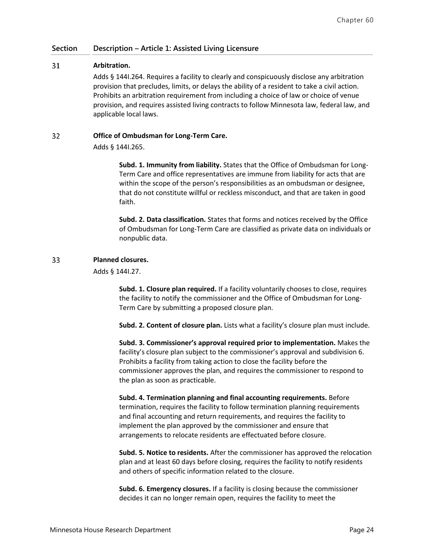#### 31 **Arbitration.**

Adds § 144I.264. Requires a facility to clearly and conspicuously disclose any arbitration provision that precludes, limits, or delays the ability of a resident to take a civil action. Prohibits an arbitration requirement from including a choice of law or choice of venue provision, and requires assisted living contracts to follow Minnesota law, federal law, and applicable local laws.

#### 32 **Office of Ombudsman for Long-Term Care.**

Adds § 144I.265.

**Subd. 1. Immunity from liability.** States that the Office of Ombudsman for Long-Term Care and office representatives are immune from liability for acts that are within the scope of the person's responsibilities as an ombudsman or designee, that do not constitute willful or reckless misconduct, and that are taken in good faith.

**Subd. 2. Data classification.** States that forms and notices received by the Office of Ombudsman for Long-Term Care are classified as private data on individuals or nonpublic data.

#### 33 **Planned closures.**

Adds § 144I.27.

**Subd. 1. Closure plan required.** If a facility voluntarily chooses to close, requires the facility to notify the commissioner and the Office of Ombudsman for Long-Term Care by submitting a proposed closure plan.

**Subd. 2. Content of closure plan.** Lists what a facility's closure plan must include.

**Subd. 3. Commissioner's approval required prior to implementation.** Makes the facility's closure plan subject to the commissioner's approval and subdivision 6. Prohibits a facility from taking action to close the facility before the commissioner approves the plan, and requires the commissioner to respond to the plan as soon as practicable.

**Subd. 4. Termination planning and final accounting requirements.** Before termination, requires the facility to follow termination planning requirements and final accounting and return requirements, and requires the facility to implement the plan approved by the commissioner and ensure that arrangements to relocate residents are effectuated before closure.

**Subd. 5. Notice to residents.** After the commissioner has approved the relocation plan and at least 60 days before closing, requires the facility to notify residents and others of specific information related to the closure.

**Subd. 6. Emergency closures.** If a facility is closing because the commissioner decides it can no longer remain open, requires the facility to meet the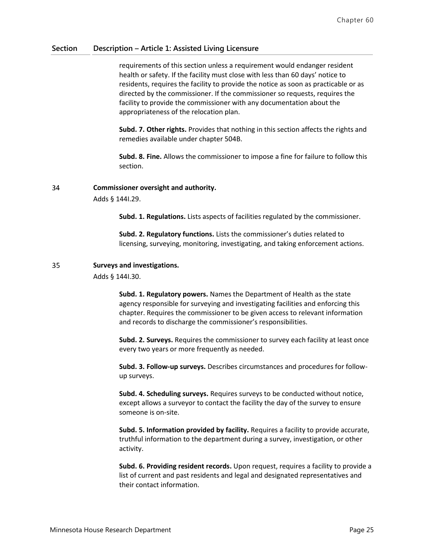requirements of this section unless a requirement would endanger resident health or safety. If the facility must close with less than 60 days' notice to residents, requires the facility to provide the notice as soon as practicable or as directed by the commissioner. If the commissioner so requests, requires the facility to provide the commissioner with any documentation about the appropriateness of the relocation plan.

**Subd. 7. Other rights.** Provides that nothing in this section affects the rights and remedies available under chapter 504B.

**Subd. 8. Fine.** Allows the commissioner to impose a fine for failure to follow this section.

#### 34 **Commissioner oversight and authority.**

Adds § 144I.29.

**Subd. 1. Regulations.** Lists aspects of facilities regulated by the commissioner.

**Subd. 2. Regulatory functions.** Lists the commissioner's duties related to licensing, surveying, monitoring, investigating, and taking enforcement actions.

#### 35 **Surveys and investigations.**

Adds § 144I.30.

**Subd. 1. Regulatory powers.** Names the Department of Health as the state agency responsible for surveying and investigating facilities and enforcing this chapter. Requires the commissioner to be given access to relevant information and records to discharge the commissioner's responsibilities.

**Subd. 2. Surveys.** Requires the commissioner to survey each facility at least once every two years or more frequently as needed.

**Subd. 3. Follow-up surveys.** Describes circumstances and procedures for followup surveys.

**Subd. 4. Scheduling surveys.** Requires surveys to be conducted without notice, except allows a surveyor to contact the facility the day of the survey to ensure someone is on-site.

**Subd. 5. Information provided by facility.** Requires a facility to provide accurate, truthful information to the department during a survey, investigation, or other activity.

**Subd. 6. Providing resident records.** Upon request, requires a facility to provide a list of current and past residents and legal and designated representatives and their contact information.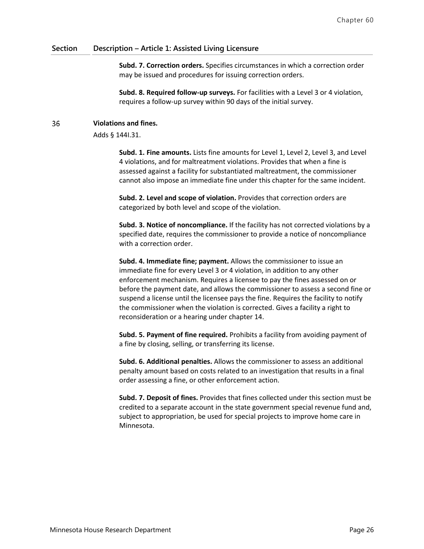**Subd. 7. Correction orders.** Specifies circumstances in which a correction order may be issued and procedures for issuing correction orders.

**Subd. 8. Required follow-up surveys.** For facilities with a Level 3 or 4 violation, requires a follow-up survey within 90 days of the initial survey.

#### 36 **Violations and fines.**

Adds § 144I.31.

**Subd. 1. Fine amounts.** Lists fine amounts for Level 1, Level 2, Level 3, and Level 4 violations, and for maltreatment violations. Provides that when a fine is assessed against a facility for substantiated maltreatment, the commissioner cannot also impose an immediate fine under this chapter for the same incident.

**Subd. 2. Level and scope of violation.** Provides that correction orders are categorized by both level and scope of the violation.

**Subd. 3. Notice of noncompliance.** If the facility has not corrected violations by a specified date, requires the commissioner to provide a notice of noncompliance with a correction order.

**Subd. 4. Immediate fine; payment.** Allows the commissioner to issue an immediate fine for every Level 3 or 4 violation, in addition to any other enforcement mechanism. Requires a licensee to pay the fines assessed on or before the payment date, and allows the commissioner to assess a second fine or suspend a license until the licensee pays the fine. Requires the facility to notify the commissioner when the violation is corrected. Gives a facility a right to reconsideration or a hearing under chapter 14.

**Subd. 5. Payment of fine required.** Prohibits a facility from avoiding payment of a fine by closing, selling, or transferring its license.

**Subd. 6. Additional penalties.** Allows the commissioner to assess an additional penalty amount based on costs related to an investigation that results in a final order assessing a fine, or other enforcement action.

**Subd. 7. Deposit of fines.** Provides that fines collected under this section must be credited to a separate account in the state government special revenue fund and, subject to appropriation, be used for special projects to improve home care in Minnesota.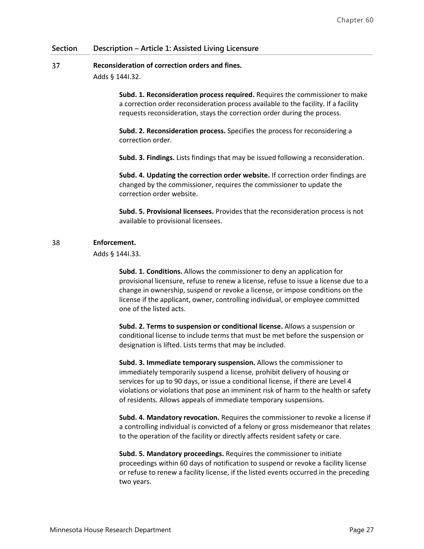#### 37 **Reconsideration of correction orders and fines.**

Adds § 144I.32.

**Subd. 1. Reconsideration process required.** Requires the commissioner to make a correction order reconsideration process available to the facility. If a facility requests reconsideration, stays the correction order during the process.

**Subd. 2. Reconsideration process.** Specifies the process for reconsidering a correction order.

**Subd. 3. Findings.** Lists findings that may be issued following a reconsideration.

**Subd. 4. Updating the correction order website.** If correction order findings are changed by the commissioner, requires the commissioner to update the correction order website.

**Subd. 5. Provisional licensees.** Provides that the reconsideration process is not available to provisional licensees.

#### **Enforcement.** 38

Adds § 144I.33.

**Subd. 1. Conditions.** Allows the commissioner to deny an application for provisional licensure, refuse to renew a license, refuse to issue a license due to a change in ownership, suspend or revoke a license, or impose conditions on the license if the applicant, owner, controlling individual, or employee committed one of the listed acts.

**Subd. 2. Terms to suspension or conditional license.** Allows a suspension or conditional license to include terms that must be met before the suspension or designation is lifted. Lists terms that may be included.

**Subd. 3. Immediate temporary suspension.** Allows the commissioner to immediately temporarily suspend a license, prohibit delivery of housing or services for up to 90 days, or issue a conditional license, if there are Level 4 violations or violations that pose an imminent risk of harm to the health or safety of residents. Allows appeals of immediate temporary suspensions.

**Subd. 4. Mandatory revocation.** Requires the commissioner to revoke a license if a controlling individual is convicted of a felony or gross misdemeanor that relates to the operation of the facility or directly affects resident safety or care.

**Subd. 5. Mandatory proceedings.** Requires the commissioner to initiate proceedings within 60 days of notification to suspend or revoke a facility license or refuse to renew a facility license, if the listed events occurred in the preceding two years.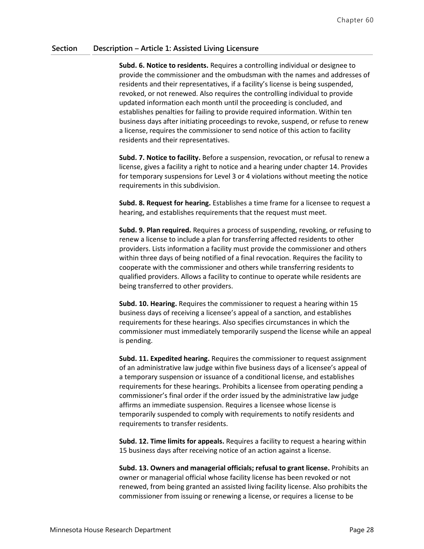**Subd. 6. Notice to residents.** Requires a controlling individual or designee to provide the commissioner and the ombudsman with the names and addresses of residents and their representatives, if a facility's license is being suspended, revoked, or not renewed. Also requires the controlling individual to provide updated information each month until the proceeding is concluded, and establishes penalties for failing to provide required information. Within ten business days after initiating proceedings to revoke, suspend, or refuse to renew a license, requires the commissioner to send notice of this action to facility residents and their representatives.

**Subd. 7. Notice to facility.** Before a suspension, revocation, or refusal to renew a license, gives a facility a right to notice and a hearing under chapter 14. Provides for temporary suspensions for Level 3 or 4 violations without meeting the notice requirements in this subdivision.

**Subd. 8. Request for hearing.** Establishes a time frame for a licensee to request a hearing, and establishes requirements that the request must meet.

**Subd. 9. Plan required.** Requires a process of suspending, revoking, or refusing to renew a license to include a plan for transferring affected residents to other providers. Lists information a facility must provide the commissioner and others within three days of being notified of a final revocation. Requires the facility to cooperate with the commissioner and others while transferring residents to qualified providers. Allows a facility to continue to operate while residents are being transferred to other providers.

**Subd. 10. Hearing.** Requires the commissioner to request a hearing within 15 business days of receiving a licensee's appeal of a sanction, and establishes requirements for these hearings. Also specifies circumstances in which the commissioner must immediately temporarily suspend the license while an appeal is pending.

**Subd. 11. Expedited hearing.** Requires the commissioner to request assignment of an administrative law judge within five business days of a licensee's appeal of a temporary suspension or issuance of a conditional license, and establishes requirements for these hearings. Prohibits a licensee from operating pending a commissioner's final order if the order issued by the administrative law judge affirms an immediate suspension. Requires a licensee whose license is temporarily suspended to comply with requirements to notify residents and requirements to transfer residents.

**Subd. 12. Time limits for appeals.** Requires a facility to request a hearing within 15 business days after receiving notice of an action against a license.

**Subd. 13. Owners and managerial officials; refusal to grant license.** Prohibits an owner or managerial official whose facility license has been revoked or not renewed, from being granted an assisted living facility license. Also prohibits the commissioner from issuing or renewing a license, or requires a license to be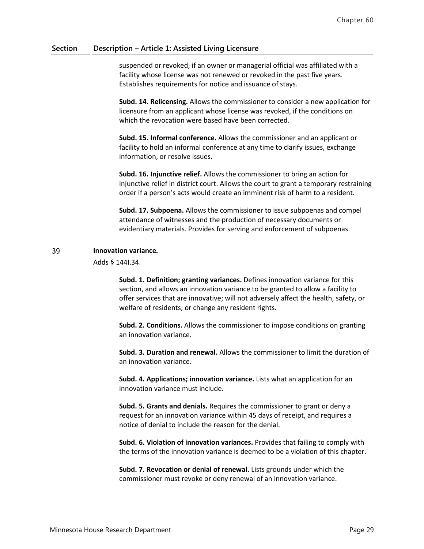suspended or revoked, if an owner or managerial official was affiliated with a facility whose license was not renewed or revoked in the past five years. Establishes requirements for notice and issuance of stays.

**Subd. 14. Relicensing.** Allows the commissioner to consider a new application for licensure from an applicant whose license was revoked, if the conditions on which the revocation were based have been corrected.

**Subd. 15. Informal conference.** Allows the commissioner and an applicant or facility to hold an informal conference at any time to clarify issues, exchange information, or resolve issues.

**Subd. 16. Injunctive relief.** Allows the commissioner to bring an action for injunctive relief in district court. Allows the court to grant a temporary restraining order if a person's acts would create an imminent risk of harm to a resident.

**Subd. 17. Subpoena.** Allows the commissioner to issue subpoenas and compel attendance of witnesses and the production of necessary documents or evidentiary materials. Provides for serving and enforcement of subpoenas.

#### 39 **Innovation variance.**

Adds § 144I.34.

**Subd. 1. Definition; granting variances.** Defines innovation variance for this section, and allows an innovation variance to be granted to allow a facility to offer services that are innovative; will not adversely affect the health, safety, or welfare of residents; or change any resident rights.

**Subd. 2. Conditions.** Allows the commissioner to impose conditions on granting an innovation variance.

**Subd. 3. Duration and renewal.** Allows the commissioner to limit the duration of an innovation variance.

**Subd. 4. Applications; innovation variance.** Lists what an application for an innovation variance must include.

**Subd. 5. Grants and denials.** Requires the commissioner to grant or deny a request for an innovation variance within 45 days of receipt, and requires a notice of denial to include the reason for the denial.

**Subd. 6. Violation of innovation variances.** Provides that failing to comply with the terms of the innovation variance is deemed to be a violation of this chapter.

**Subd. 7. Revocation or denial of renewal.** Lists grounds under which the commissioner must revoke or deny renewal of an innovation variance.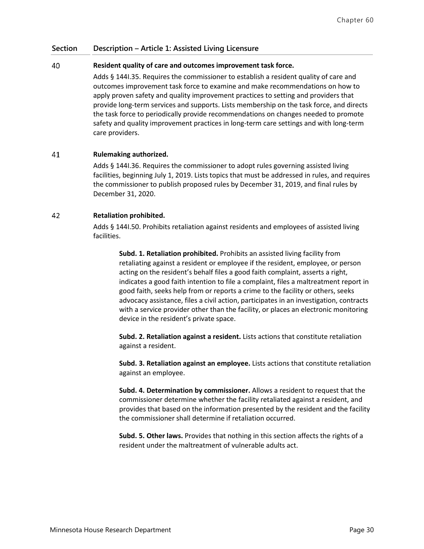#### 40 **Resident quality of care and outcomes improvement task force.**

Adds § 144I.35. Requires the commissioner to establish a resident quality of care and outcomes improvement task force to examine and make recommendations on how to apply proven safety and quality improvement practices to setting and providers that provide long-term services and supports. Lists membership on the task force, and directs the task force to periodically provide recommendations on changes needed to promote safety and quality improvement practices in long-term care settings and with long-term care providers.

#### 41 **Rulemaking authorized.**

Adds § 144I.36. Requires the commissioner to adopt rules governing assisted living facilities, beginning July 1, 2019. Lists topics that must be addressed in rules, and requires the commissioner to publish proposed rules by December 31, 2019, and final rules by December 31, 2020.

#### 42 **Retaliation prohibited.**

Adds § 144I.50. Prohibits retaliation against residents and employees of assisted living facilities.

**Subd. 1. Retaliation prohibited.** Prohibits an assisted living facility from retaliating against a resident or employee if the resident, employee, or person acting on the resident's behalf files a good faith complaint, asserts a right, indicates a good faith intention to file a complaint, files a maltreatment report in good faith, seeks help from or reports a crime to the facility or others, seeks advocacy assistance, files a civil action, participates in an investigation, contracts with a service provider other than the facility, or places an electronic monitoring device in the resident's private space.

**Subd. 2. Retaliation against a resident.** Lists actions that constitute retaliation against a resident.

**Subd. 3. Retaliation against an employee.** Lists actions that constitute retaliation against an employee.

**Subd. 4. Determination by commissioner.** Allows a resident to request that the commissioner determine whether the facility retaliated against a resident, and provides that based on the information presented by the resident and the facility the commissioner shall determine if retaliation occurred.

**Subd. 5. Other laws.** Provides that nothing in this section affects the rights of a resident under the maltreatment of vulnerable adults act.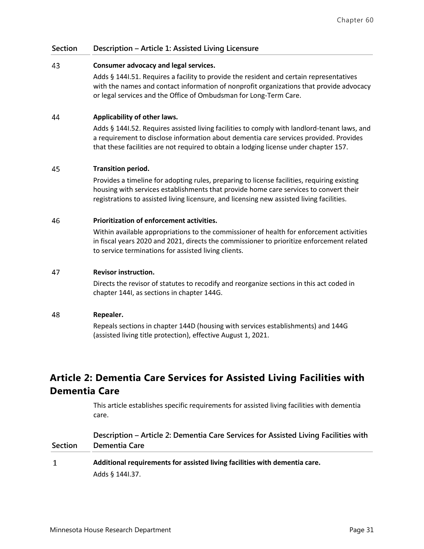#### 43 **Consumer advocacy and legal services.**

Adds § 144I.51. Requires a facility to provide the resident and certain representatives with the names and contact information of nonprofit organizations that provide advocacy or legal services and the Office of Ombudsman for Long-Term Care.

#### 44 **Applicability of other laws.**

Adds § 144I.52. Requires assisted living facilities to comply with landlord-tenant laws, and a requirement to disclose information about dementia care services provided. Provides that these facilities are not required to obtain a lodging license under chapter 157.

#### 45 **Transition period.**

Provides a timeline for adopting rules, preparing to license facilities, requiring existing housing with services establishments that provide home care services to convert their registrations to assisted living licensure, and licensing new assisted living facilities.

#### 46 **Prioritization of enforcement activities.**

Within available appropriations to the commissioner of health for enforcement activities in fiscal years 2020 and 2021, directs the commissioner to prioritize enforcement related to service terminations for assisted living clients.

#### 47 **Revisor instruction.**

Directs the revisor of statutes to recodify and reorganize sections in this act coded in chapter 144I, as sections in chapter 144G.

#### 48 **Repealer.**

Repeals sections in chapter 144D (housing with services establishments) and 144G (assisted living title protection), effective August 1, 2021.

# **Article 2: Dementia Care Services for Assisted Living Facilities with Dementia Care**

This article establishes specific requirements for assisted living facilities with dementia care.

| <b>Section</b> | Description – Article 2: Dementia Care Services for Assisted Living Facilities with<br>Dementia Care |  |
|----------------|------------------------------------------------------------------------------------------------------|--|
| 1              | Additional requirements for assisted living facilities with dementia care.                           |  |
|                | Adds § 144I.37.                                                                                      |  |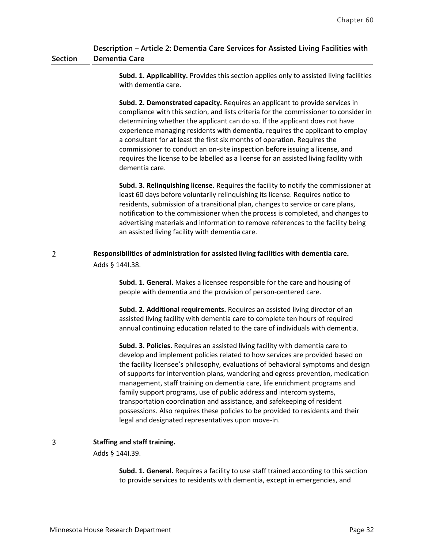#### **Section Description – Article 2: Dementia Care Services for Assisted Living Facilities with Dementia Care**

**Subd. 1. Applicability.** Provides this section applies only to assisted living facilities with dementia care.

**Subd. 2. Demonstrated capacity.** Requires an applicant to provide services in compliance with this section, and lists criteria for the commissioner to consider in determining whether the applicant can do so. If the applicant does not have experience managing residents with dementia, requires the applicant to employ a consultant for at least the first six months of operation. Requires the commissioner to conduct an on-site inspection before issuing a license, and requires the license to be labelled as a license for an assisted living facility with dementia care.

**Subd. 3. Relinquishing license.** Requires the facility to notify the commissioner at least 60 days before voluntarily relinquishing its license. Requires notice to residents, submission of a transitional plan, changes to service or care plans, notification to the commissioner when the process is completed, and changes to advertising materials and information to remove references to the facility being an assisted living facility with dementia care.

#### $\overline{2}$ **Responsibilities of administration for assisted living facilities with dementia care.** Adds § 144I.38.

**Subd. 1. General.** Makes a licensee responsible for the care and housing of people with dementia and the provision of person-centered care.

**Subd. 2. Additional requirements.** Requires an assisted living director of an assisted living facility with dementia care to complete ten hours of required annual continuing education related to the care of individuals with dementia.

**Subd. 3. Policies.** Requires an assisted living facility with dementia care to develop and implement policies related to how services are provided based on the facility licensee's philosophy, evaluations of behavioral symptoms and design of supports for intervention plans, wandering and egress prevention, medication management, staff training on dementia care, life enrichment programs and family support programs, use of public address and intercom systems, transportation coordination and assistance, and safekeeping of resident possessions. Also requires these policies to be provided to residents and their legal and designated representatives upon move-in.

#### 3 **Staffing and staff training.**

### Adds § 144I.39.

**Subd. 1. General.** Requires a facility to use staff trained according to this section to provide services to residents with dementia, except in emergencies, and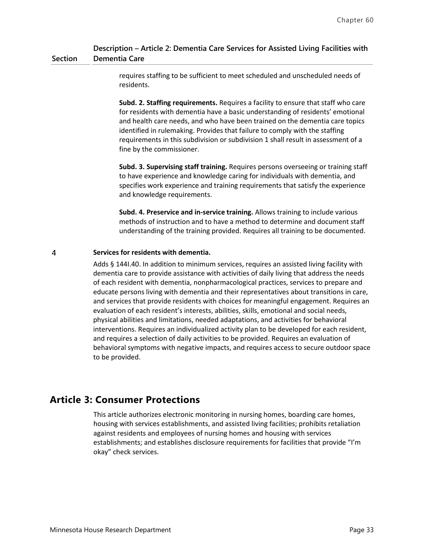#### **Section Description – Article 2: Dementia Care Services for Assisted Living Facilities with Dementia Care**

requires staffing to be sufficient to meet scheduled and unscheduled needs of residents.

**Subd. 2. Staffing requirements.** Requires a facility to ensure that staff who care for residents with dementia have a basic understanding of residents' emotional and health care needs, and who have been trained on the dementia care topics identified in rulemaking. Provides that failure to comply with the staffing requirements in this subdivision or subdivision 1 shall result in assessment of a fine by the commissioner.

**Subd. 3. Supervising staff training.** Requires persons overseeing or training staff to have experience and knowledge caring for individuals with dementia, and specifies work experience and training requirements that satisfy the experience and knowledge requirements.

**Subd. 4. Preservice and in-service training.** Allows training to include various methods of instruction and to have a method to determine and document staff understanding of the training provided. Requires all training to be documented.

#### $\overline{4}$ **Services for residents with dementia.**

Adds § 144I.40. In addition to minimum services, requires an assisted living facility with dementia care to provide assistance with activities of daily living that address the needs of each resident with dementia, nonpharmacological practices, services to prepare and educate persons living with dementia and their representatives about transitions in care, and services that provide residents with choices for meaningful engagement. Requires an evaluation of each resident's interests, abilities, skills, emotional and social needs, physical abilities and limitations, needed adaptations, and activities for behavioral interventions. Requires an individualized activity plan to be developed for each resident, and requires a selection of daily activities to be provided. Requires an evaluation of behavioral symptoms with negative impacts, and requires access to secure outdoor space to be provided.

## **Article 3: Consumer Protections**

This article authorizes electronic monitoring in nursing homes, boarding care homes, housing with services establishments, and assisted living facilities; prohibits retaliation against residents and employees of nursing homes and housing with services establishments; and establishes disclosure requirements for facilities that provide "I'm okay" check services.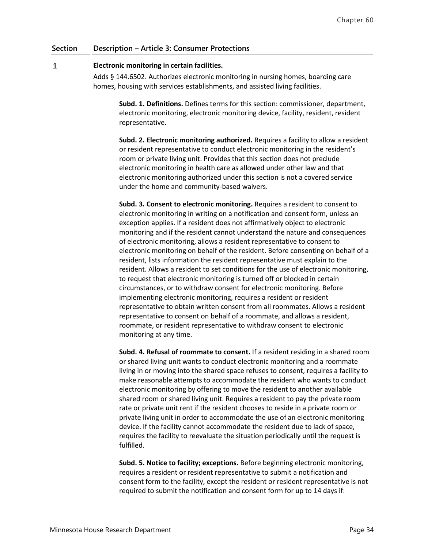#### $\mathbf{1}$ **Electronic monitoring in certain facilities.**

Adds § 144.6502. Authorizes electronic monitoring in nursing homes, boarding care homes, housing with services establishments, and assisted living facilities.

**Subd. 1. Definitions.** Defines terms for this section: commissioner, department, electronic monitoring, electronic monitoring device, facility, resident, resident representative.

**Subd. 2. Electronic monitoring authorized.** Requires a facility to allow a resident or resident representative to conduct electronic monitoring in the resident's room or private living unit. Provides that this section does not preclude electronic monitoring in health care as allowed under other law and that electronic monitoring authorized under this section is not a covered service under the home and community-based waivers.

**Subd. 3. Consent to electronic monitoring.** Requires a resident to consent to electronic monitoring in writing on a notification and consent form, unless an exception applies. If a resident does not affirmatively object to electronic monitoring and if the resident cannot understand the nature and consequences of electronic monitoring, allows a resident representative to consent to electronic monitoring on behalf of the resident. Before consenting on behalf of a resident, lists information the resident representative must explain to the resident. Allows a resident to set conditions for the use of electronic monitoring, to request that electronic monitoring is turned off or blocked in certain circumstances, or to withdraw consent for electronic monitoring. Before implementing electronic monitoring, requires a resident or resident representative to obtain written consent from all roommates. Allows a resident representative to consent on behalf of a roommate, and allows a resident, roommate, or resident representative to withdraw consent to electronic monitoring at any time.

**Subd. 4. Refusal of roommate to consent.** If a resident residing in a shared room or shared living unit wants to conduct electronic monitoring and a roommate living in or moving into the shared space refuses to consent, requires a facility to make reasonable attempts to accommodate the resident who wants to conduct electronic monitoring by offering to move the resident to another available shared room or shared living unit. Requires a resident to pay the private room rate or private unit rent if the resident chooses to reside in a private room or private living unit in order to accommodate the use of an electronic monitoring device. If the facility cannot accommodate the resident due to lack of space, requires the facility to reevaluate the situation periodically until the request is fulfilled.

**Subd. 5. Notice to facility; exceptions.** Before beginning electronic monitoring, requires a resident or resident representative to submit a notification and consent form to the facility, except the resident or resident representative is not required to submit the notification and consent form for up to 14 days if: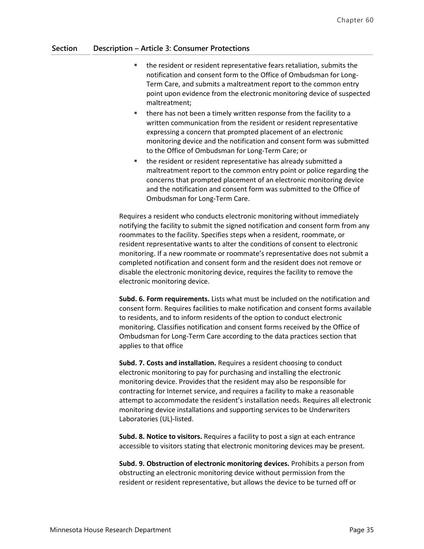- the resident or resident representative fears retaliation, submits the notification and consent form to the Office of Ombudsman for Long-Term Care, and submits a maltreatment report to the common entry point upon evidence from the electronic monitoring device of suspected maltreatment;
- **there has not been a timely written response from the facility to a** written communication from the resident or resident representative expressing a concern that prompted placement of an electronic monitoring device and the notification and consent form was submitted to the Office of Ombudsman for Long-Term Care; or
- the resident or resident representative has already submitted a maltreatment report to the common entry point or police regarding the concerns that prompted placement of an electronic monitoring device and the notification and consent form was submitted to the Office of Ombudsman for Long-Term Care.

Requires a resident who conducts electronic monitoring without immediately notifying the facility to submit the signed notification and consent form from any roommates to the facility. Specifies steps when a resident, roommate, or resident representative wants to alter the conditions of consent to electronic monitoring. If a new roommate or roommate's representative does not submit a completed notification and consent form and the resident does not remove or disable the electronic monitoring device, requires the facility to remove the electronic monitoring device.

**Subd. 6. Form requirements.** Lists what must be included on the notification and consent form. Requires facilities to make notification and consent forms available to residents, and to inform residents of the option to conduct electronic monitoring. Classifies notification and consent forms received by the Office of Ombudsman for Long-Term Care according to the data practices section that applies to that office

**Subd. 7. Costs and installation.** Requires a resident choosing to conduct electronic monitoring to pay for purchasing and installing the electronic monitoring device. Provides that the resident may also be responsible for contracting for Internet service, and requires a facility to make a reasonable attempt to accommodate the resident's installation needs. Requires all electronic monitoring device installations and supporting services to be Underwriters Laboratories (UL)-listed.

**Subd. 8. Notice to visitors.** Requires a facility to post a sign at each entrance accessible to visitors stating that electronic monitoring devices may be present.

**Subd. 9. Obstruction of electronic monitoring devices.** Prohibits a person from obstructing an electronic monitoring device without permission from the resident or resident representative, but allows the device to be turned off or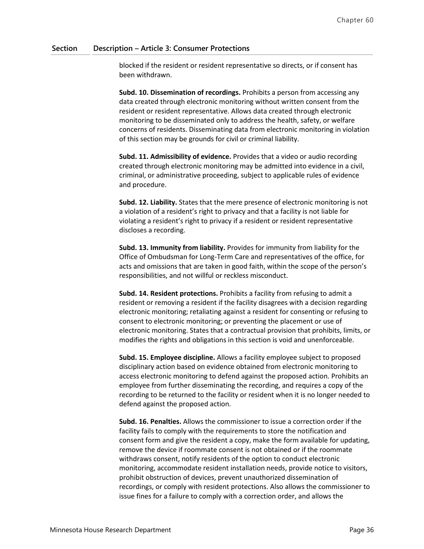blocked if the resident or resident representative so directs, or if consent has been withdrawn.

**Subd. 10. Dissemination of recordings.** Prohibits a person from accessing any data created through electronic monitoring without written consent from the resident or resident representative. Allows data created through electronic monitoring to be disseminated only to address the health, safety, or welfare concerns of residents. Disseminating data from electronic monitoring in violation of this section may be grounds for civil or criminal liability.

**Subd. 11. Admissibility of evidence.** Provides that a video or audio recording created through electronic monitoring may be admitted into evidence in a civil, criminal, or administrative proceeding, subject to applicable rules of evidence and procedure.

**Subd. 12. Liability.** States that the mere presence of electronic monitoring is not a violation of a resident's right to privacy and that a facility is not liable for violating a resident's right to privacy if a resident or resident representative discloses a recording.

**Subd. 13. Immunity from liability.** Provides for immunity from liability for the Office of Ombudsman for Long-Term Care and representatives of the office, for acts and omissions that are taken in good faith, within the scope of the person's responsibilities, and not willful or reckless misconduct.

**Subd. 14. Resident protections.** Prohibits a facility from refusing to admit a resident or removing a resident if the facility disagrees with a decision regarding electronic monitoring; retaliating against a resident for consenting or refusing to consent to electronic monitoring; or preventing the placement or use of electronic monitoring. States that a contractual provision that prohibits, limits, or modifies the rights and obligations in this section is void and unenforceable.

**Subd. 15. Employee discipline.** Allows a facility employee subject to proposed disciplinary action based on evidence obtained from electronic monitoring to access electronic monitoring to defend against the proposed action. Prohibits an employee from further disseminating the recording, and requires a copy of the recording to be returned to the facility or resident when it is no longer needed to defend against the proposed action.

**Subd. 16. Penalties.** Allows the commissioner to issue a correction order if the facility fails to comply with the requirements to store the notification and consent form and give the resident a copy, make the form available for updating, remove the device if roommate consent is not obtained or if the roommate withdraws consent, notify residents of the option to conduct electronic monitoring, accommodate resident installation needs, provide notice to visitors, prohibit obstruction of devices, prevent unauthorized dissemination of recordings, or comply with resident protections. Also allows the commissioner to issue fines for a failure to comply with a correction order, and allows the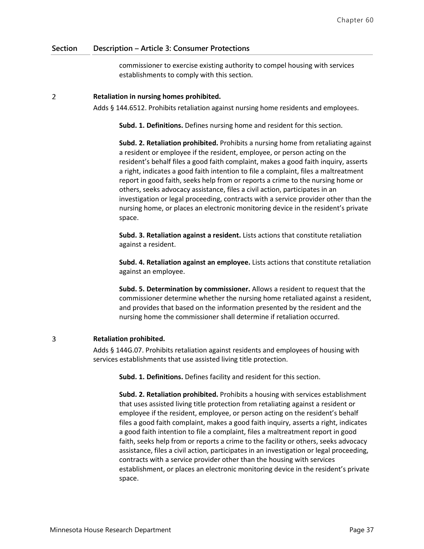commissioner to exercise existing authority to compel housing with services establishments to comply with this section.

#### $\overline{2}$ **Retaliation in nursing homes prohibited.**

Adds § 144.6512. Prohibits retaliation against nursing home residents and employees.

**Subd. 1. Definitions.** Defines nursing home and resident for this section.

**Subd. 2. Retaliation prohibited.** Prohibits a nursing home from retaliating against a resident or employee if the resident, employee, or person acting on the resident's behalf files a good faith complaint, makes a good faith inquiry, asserts a right, indicates a good faith intention to file a complaint, files a maltreatment report in good faith, seeks help from or reports a crime to the nursing home or others, seeks advocacy assistance, files a civil action, participates in an investigation or legal proceeding, contracts with a service provider other than the nursing home, or places an electronic monitoring device in the resident's private space.

**Subd. 3. Retaliation against a resident.** Lists actions that constitute retaliation against a resident.

**Subd. 4. Retaliation against an employee.** Lists actions that constitute retaliation against an employee.

**Subd. 5. Determination by commissioner.** Allows a resident to request that the commissioner determine whether the nursing home retaliated against a resident, and provides that based on the information presented by the resident and the nursing home the commissioner shall determine if retaliation occurred.

#### 3 **Retaliation prohibited.**

Adds § 144G.07. Prohibits retaliation against residents and employees of housing with services establishments that use assisted living title protection.

**Subd. 1. Definitions.** Defines facility and resident for this section.

**Subd. 2. Retaliation prohibited.** Prohibits a housing with services establishment that uses assisted living title protection from retaliating against a resident or employee if the resident, employee, or person acting on the resident's behalf files a good faith complaint, makes a good faith inquiry, asserts a right, indicates a good faith intention to file a complaint, files a maltreatment report in good faith, seeks help from or reports a crime to the facility or others, seeks advocacy assistance, files a civil action, participates in an investigation or legal proceeding, contracts with a service provider other than the housing with services establishment, or places an electronic monitoring device in the resident's private space.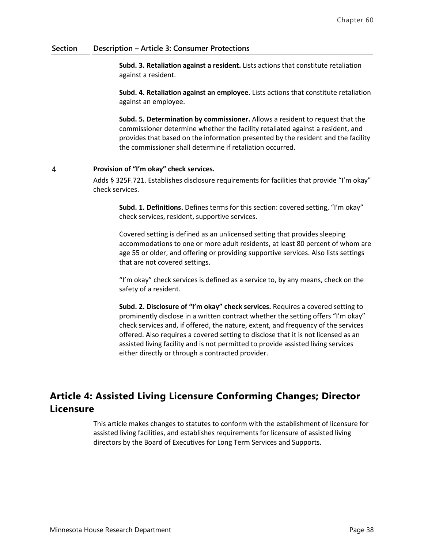**Subd. 3. Retaliation against a resident.** Lists actions that constitute retaliation against a resident.

**Subd. 4. Retaliation against an employee.** Lists actions that constitute retaliation against an employee.

**Subd. 5. Determination by commissioner.** Allows a resident to request that the commissioner determine whether the facility retaliated against a resident, and provides that based on the information presented by the resident and the facility the commissioner shall determine if retaliation occurred.

#### $\overline{4}$ **Provision of "I'm okay" check services.**

Adds § 325F.721. Establishes disclosure requirements for facilities that provide "I'm okay" check services.

**Subd. 1. Definitions.** Defines terms for this section: covered setting, "I'm okay" check services, resident, supportive services.

Covered setting is defined as an unlicensed setting that provides sleeping accommodations to one or more adult residents, at least 80 percent of whom are age 55 or older, and offering or providing supportive services. Also lists settings that are not covered settings.

"I'm okay" check services is defined as a service to, by any means, check on the safety of a resident.

**Subd. 2. Disclosure of "I'm okay" check services.** Requires a covered setting to prominently disclose in a written contract whether the setting offers "I'm okay" check services and, if offered, the nature, extent, and frequency of the services offered. Also requires a covered setting to disclose that it is not licensed as an assisted living facility and is not permitted to provide assisted living services either directly or through a contracted provider.

# **Article 4: Assisted Living Licensure Conforming Changes; Director Licensure**

This article makes changes to statutes to conform with the establishment of licensure for assisted living facilities, and establishes requirements for licensure of assisted living directors by the Board of Executives for Long Term Services and Supports.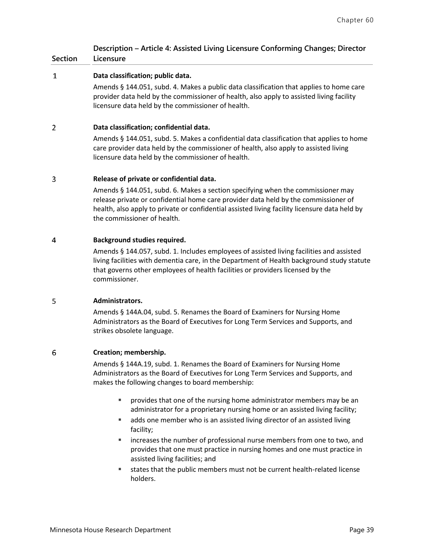# **Description – Article 4: Assisted Living Licensure Conforming Changes; Director**

#### **Section Licensure**

#### $\mathbf{1}$ **Data classification; public data.**

Amends § 144.051, subd. 4. Makes a public data classification that applies to home care provider data held by the commissioner of health, also apply to assisted living facility licensure data held by the commissioner of health.

#### $\overline{2}$ **Data classification; confidential data.**

Amends § 144.051, subd. 5. Makes a confidential data classification that applies to home care provider data held by the commissioner of health, also apply to assisted living licensure data held by the commissioner of health.

#### 3 **Release of private or confidential data.**

Amends § 144.051, subd. 6. Makes a section specifying when the commissioner may release private or confidential home care provider data held by the commissioner of health, also apply to private or confidential assisted living facility licensure data held by the commissioner of health.

#### $\overline{4}$ **Background studies required.**

Amends § 144.057, subd. 1. Includes employees of assisted living facilities and assisted living facilities with dementia care, in the Department of Health background study statute that governs other employees of health facilities or providers licensed by the commissioner.

#### 5 **Administrators.**

Amends § 144A.04, subd. 5. Renames the Board of Examiners for Nursing Home Administrators as the Board of Executives for Long Term Services and Supports, and strikes obsolete language.

#### 6 **Creation; membership.**

Amends § 144A.19, subd. 1. Renames the Board of Examiners for Nursing Home Administrators as the Board of Executives for Long Term Services and Supports, and makes the following changes to board membership:

- **PEDDE FINISH** provides that one of the nursing home administrator members may be an administrator for a proprietary nursing home or an assisted living facility;
- adds one member who is an assisted living director of an assisted living facility;
- increases the number of professional nurse members from one to two, and provides that one must practice in nursing homes and one must practice in assisted living facilities; and
- states that the public members must not be current health-related license holders.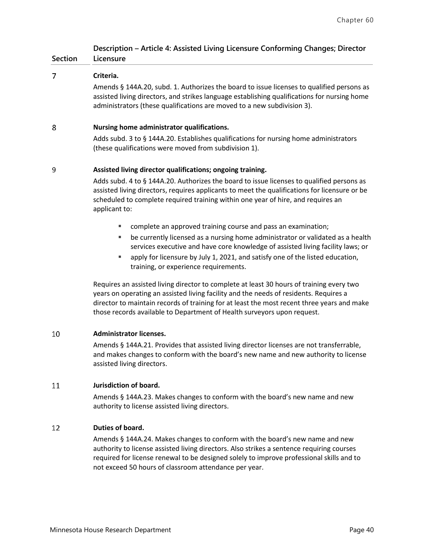### **Description – Article 4: Assisted Living Licensure Conforming Changes; Director Licensure**

|   | Criteria.                                                                                                                                                                                                                                                            |
|---|----------------------------------------------------------------------------------------------------------------------------------------------------------------------------------------------------------------------------------------------------------------------|
|   | Amends § 144A.20, subd. 1. Authorizes the board to issue licenses to qualified persons as<br>assisted living directors, and strikes language establishing qualifications for nursing home<br>administrators (these qualifications are moved to a new subdivision 3). |
| ጰ | Nursing home administrator qualifications.                                                                                                                                                                                                                           |

# **Nursing home administrator qualifications.**

Adds subd. 3 to § 144A.20. Establishes qualifications for nursing home administrators (these qualifications were moved from subdivision 1).

#### 9 **Assisted living director qualifications; ongoing training.**

Adds subd. 4 to § 144A.20. Authorizes the board to issue licenses to qualified persons as assisted living directors, requires applicants to meet the qualifications for licensure or be scheduled to complete required training within one year of hire, and requires an applicant to:

- complete an approved training course and pass an examination;
- be currently licensed as a nursing home administrator or validated as a health services executive and have core knowledge of assisted living facility laws; or
- apply for licensure by July 1, 2021, and satisfy one of the listed education, training, or experience requirements.

Requires an assisted living director to complete at least 30 hours of training every two years on operating an assisted living facility and the needs of residents. Requires a director to maintain records of training for at least the most recent three years and make those records available to Department of Health surveyors upon request.

#### 10 **Administrator licenses.**

**Section**

Amends § 144A.21. Provides that assisted living director licenses are not transferrable, and makes changes to conform with the board's new name and new authority to license assisted living directors.

#### 11 **Jurisdiction of board.**

Amends § 144A.23. Makes changes to conform with the board's new name and new authority to license assisted living directors.

#### 12 **Duties of board.**

Amends § 144A.24. Makes changes to conform with the board's new name and new authority to license assisted living directors. Also strikes a sentence requiring courses required for license renewal to be designed solely to improve professional skills and to not exceed 50 hours of classroom attendance per year.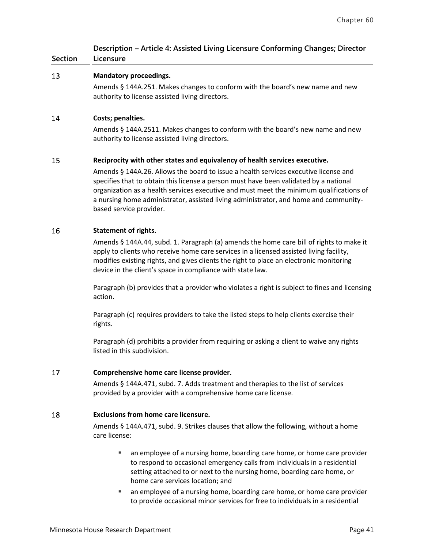| <b>Section</b> | Description – Article 4: Assisted Living Licensure Conforming Changes; Director<br>Licensure                                                                                                                                                                                                                                                                                               |
|----------------|--------------------------------------------------------------------------------------------------------------------------------------------------------------------------------------------------------------------------------------------------------------------------------------------------------------------------------------------------------------------------------------------|
| 13             | <b>Mandatory proceedings.</b>                                                                                                                                                                                                                                                                                                                                                              |
|                | Amends § 144A.251. Makes changes to conform with the board's new name and new<br>authority to license assisted living directors.                                                                                                                                                                                                                                                           |
| 14             | Costs; penalties.                                                                                                                                                                                                                                                                                                                                                                          |
|                | Amends § 144A.2511. Makes changes to conform with the board's new name and new<br>authority to license assisted living directors.                                                                                                                                                                                                                                                          |
| 15             | Reciprocity with other states and equivalency of health services executive.                                                                                                                                                                                                                                                                                                                |
|                | Amends § 144A.26. Allows the board to issue a health services executive license and<br>specifies that to obtain this license a person must have been validated by a national<br>organization as a health services executive and must meet the minimum qualifications of<br>a nursing home administrator, assisted living administrator, and home and community-<br>based service provider. |

#### 16 **Statement of rights.**

Amends § 144A.44, subd. 1. Paragraph (a) amends the home care bill of rights to make it apply to clients who receive home care services in a licensed assisted living facility, modifies existing rights, and gives clients the right to place an electronic monitoring device in the client's space in compliance with state law.

Paragraph (b) provides that a provider who violates a right is subject to fines and licensing action.

Paragraph (c) requires providers to take the listed steps to help clients exercise their rights.

Paragraph (d) prohibits a provider from requiring or asking a client to waive any rights listed in this subdivision.

#### 17 **Comprehensive home care license provider.**

Amends § 144A.471, subd. 7. Adds treatment and therapies to the list of services provided by a provider with a comprehensive home care license.

#### 18 **Exclusions from home care licensure.**

Amends § 144A.471, subd. 9. Strikes clauses that allow the following, without a home care license:

- an employee of a nursing home, boarding care home, or home care provider to respond to occasional emergency calls from individuals in a residential setting attached to or next to the nursing home, boarding care home, or home care services location; and
- an employee of a nursing home, boarding care home, or home care provider to provide occasional minor services for free to individuals in a residential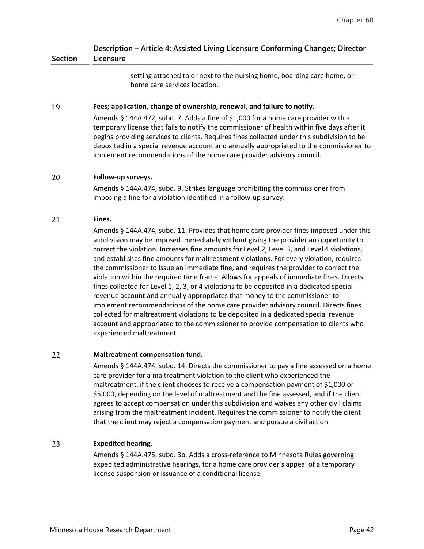#### **Section Description – Article 4: Assisted Living Licensure Conforming Changes; Director Licensure**

setting attached to or next to the nursing home, boarding care home, or home care services location.

#### 19 **Fees; application, change of ownership, renewal, and failure to notify.**

Amends § 144A.472, subd. 7. Adds a fine of \$1,000 for a home care provider with a temporary license that fails to notify the commissioner of health within five days after it begins providing services to clients. Requires fines collected under this subdivision to be deposited in a special revenue account and annually appropriated to the commissioner to implement recommendations of the home care provider advisory council.

#### 20 **Follow-up surveys.**

Amends § 144A.474, subd. 9. Strikes language prohibiting the commissioner from imposing a fine for a violation identified in a follow-up survey.

#### 21 **Fines.**

Amends § 144A.474, subd. 11. Provides that home care provider fines imposed under this subdivision may be imposed immediately without giving the provider an opportunity to correct the violation. Increases fine amounts for Level 2, Level 3, and Level 4 violations, and establishes fine amounts for maltreatment violations. For every violation, requires the commissioner to issue an immediate fine, and requires the provider to correct the violation within the required time frame. Allows for appeals of immediate fines. Directs fines collected for Level 1, 2, 3, or 4 violations to be deposited in a dedicated special revenue account and annually appropriates that money to the commissioner to implement recommendations of the home care provider advisory council. Directs fines collected for maltreatment violations to be deposited in a dedicated special revenue account and appropriated to the commissioner to provide compensation to clients who experienced maltreatment.

#### 22 **Maltreatment compensation fund.**

Amends § 144A.474, subd. 14. Directs the commissioner to pay a fine assessed on a home care provider for a maltreatment violation to the client who experienced the maltreatment, if the client chooses to receive a compensation payment of \$1,000 or \$5,000, depending on the level of maltreatment and the fine assessed, and if the client agrees to accept compensation under this subdivision and waives any other civil claims arising from the maltreatment incident. Requires the commissioner to notify the client that the client may reject a compensation payment and pursue a civil action.

#### 23 **Expedited hearing.**

Amends § 144A.475, subd. 3b. Adds a cross-reference to Minnesota Rules governing expedited administrative hearings, for a home care provider's appeal of a temporary license suspension or issuance of a conditional license.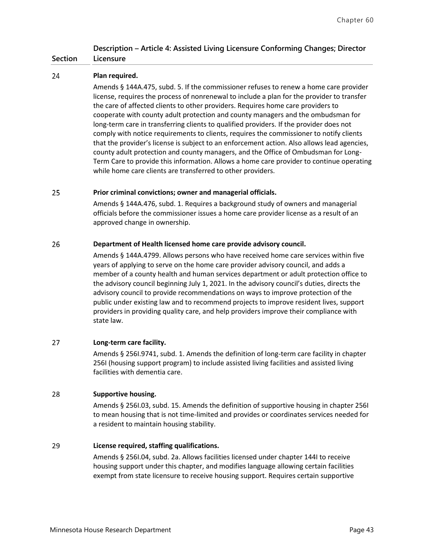### **Description – Article 4: Assisted Living Licensure Conforming Changes; Director Licensure**

#### 24 **Plan required.**

**Section**

Amends § 144A.475, subd. 5. If the commissioner refuses to renew a home care provider license, requires the process of nonrenewal to include a plan for the provider to transfer the care of affected clients to other providers. Requires home care providers to cooperate with county adult protection and county managers and the ombudsman for long-term care in transferring clients to qualified providers. If the provider does not comply with notice requirements to clients, requires the commissioner to notify clients that the provider's license is subject to an enforcement action. Also allows lead agencies, county adult protection and county managers, and the Office of Ombudsman for Long-Term Care to provide this information. Allows a home care provider to continue operating while home care clients are transferred to other providers.

#### 25 **Prior criminal convictions; owner and managerial officials.**

Amends § 144A.476, subd. 1. Requires a background study of owners and managerial officials before the commissioner issues a home care provider license as a result of an approved change in ownership.

#### 26 **Department of Health licensed home care provide advisory council.**

Amends § 144A.4799. Allows persons who have received home care services within five years of applying to serve on the home care provider advisory council, and adds a member of a county health and human services department or adult protection office to the advisory council beginning July 1, 2021. In the advisory council's duties, directs the advisory council to provide recommendations on ways to improve protection of the public under existing law and to recommend projects to improve resident lives, support providers in providing quality care, and help providers improve their compliance with state law.

#### 27 **Long-term care facility.**

Amends § 256I.9741, subd. 1. Amends the definition of long-term care facility in chapter 256I (housing support program) to include assisted living facilities and assisted living facilities with dementia care.

#### 28 **Supportive housing.**

Amends § 256I.03, subd. 15. Amends the definition of supportive housing in chapter 256I to mean housing that is not time-limited and provides or coordinates services needed for a resident to maintain housing stability.

#### 29 **License required, staffing qualifications.**

Amends § 256I.04, subd. 2a. Allows facilities licensed under chapter 144I to receive housing support under this chapter, and modifies language allowing certain facilities exempt from state licensure to receive housing support. Requires certain supportive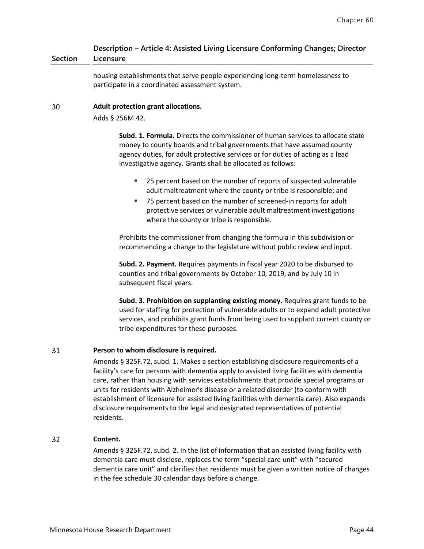#### **Section Description – Article 4: Assisted Living Licensure Conforming Changes; Director Licensure**

housing establishments that serve people experiencing long-term homelessness to participate in a coordinated assessment system.

#### 30 **Adult protection grant allocations.**

Adds § 256M.42.

**Subd. 1. Formula.** Directs the commissioner of human services to allocate state money to county boards and tribal governments that have assumed county agency duties, for adult protective services or for duties of acting as a lead investigative agency. Grants shall be allocated as follows:

- 25 percent based on the number of reports of suspected vulnerable adult maltreatment where the county or tribe is responsible; and
- 75 percent based on the number of screened-in reports for adult protective services or vulnerable adult maltreatment investigations where the county or tribe is responsible.

Prohibits the commissioner from changing the formula in this subdivision or recommending a change to the legislature without public review and input.

**Subd. 2. Payment.** Requires payments in fiscal year 2020 to be disbursed to counties and tribal governments by October 10, 2019, and by July 10 in subsequent fiscal years.

**Subd. 3. Prohibition on supplanting existing money.** Requires grant funds to be used for staffing for protection of vulnerable adults or to expand adult protective services, and prohibits grant funds from being used to supplant current county or tribe expenditures for these purposes.

#### 31 **Person to whom disclosure is required.**

Amends § 325F.72, subd. 1. Makes a section establishing disclosure requirements of a facility's care for persons with dementia apply to assisted living facilities with dementia care, rather than housing with services establishments that provide special programs or units for residents with Alzheimer's disease or a related disorder (to conform with establishment of licensure for assisted living facilities with dementia care). Also expands disclosure requirements to the legal and designated representatives of potential residents.

#### $32<sub>2</sub>$ **Content.**

Amends § 325F.72, subd. 2. In the list of information that an assisted living facility with dementia care must disclose, replaces the term "special care unit" with "secured dementia care unit" and clarifies that residents must be given a written notice of changes in the fee schedule 30 calendar days before a change.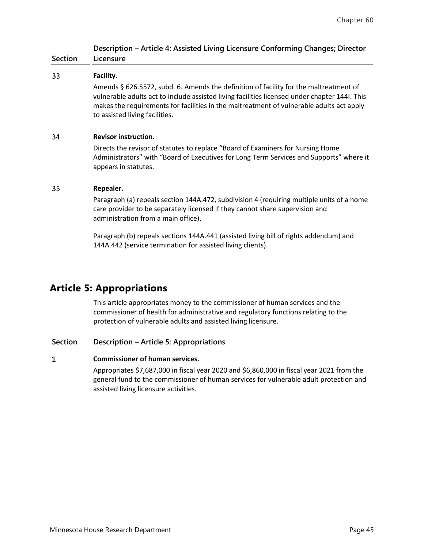|           | Description - Article 4: Assisted Living Licensure Conforming Changes; Director |  |  |
|-----------|---------------------------------------------------------------------------------|--|--|
| Licensure |                                                                                 |  |  |

| <b>Section</b> | Licensure                                                                                                                                                                                                                                                                                                                                                                             |  |  |
|----------------|---------------------------------------------------------------------------------------------------------------------------------------------------------------------------------------------------------------------------------------------------------------------------------------------------------------------------------------------------------------------------------------|--|--|
| 33             | Facility.<br>Amends § 626.5572, subd. 6. Amends the definition of facility for the maltreatment of<br>vulnerable adults act to include assisted living facilities licensed under chapter 144I. This<br>makes the requirements for facilities in the maltreatment of vulnerable adults act apply<br>to assisted living facilities.                                                     |  |  |
| 34             | <b>Revisor instruction.</b><br>Directs the revisor of statutes to replace "Board of Examiners for Nursing Home<br>Administrators" with "Board of Executives for Long Term Services and Supports" where it<br>appears in statutes.                                                                                                                                                     |  |  |
| 35             | Repealer.<br>Paragraph (a) repeals section 144A.472, subdivision 4 (requiring multiple units of a home<br>care provider to be separately licensed if they cannot share supervision and<br>administration from a main office).<br>Paragraph (b) repeals sections 144A.441 (assisted living bill of rights addendum) and<br>144A.442 (service termination for assisted living clients). |  |  |

# **Article 5: Appropriations**

This article appropriates money to the commissioner of human services and the commissioner of health for administrative and regulatory functions relating to the protection of vulnerable adults and assisted living licensure.

### **Section Description – Article 5: Appropriations**

#### **Commissioner of human services.**  $\mathbf{1}$

Appropriates \$7,687,000 in fiscal year 2020 and \$6,860,000 in fiscal year 2021 from the general fund to the commissioner of human services for vulnerable adult protection and assisted living licensure activities.